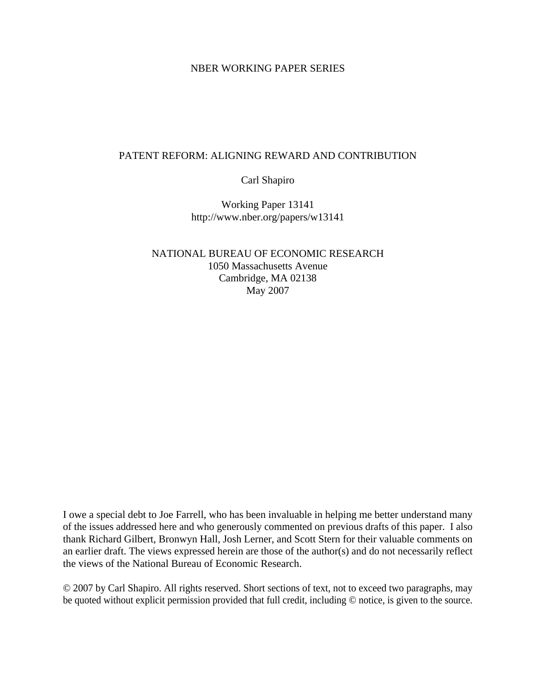#### NBER WORKING PAPER SERIES

#### PATENT REFORM: ALIGNING REWARD AND CONTRIBUTION

Carl Shapiro

Working Paper 13141 http://www.nber.org/papers/w13141

NATIONAL BUREAU OF ECONOMIC RESEARCH 1050 Massachusetts Avenue Cambridge, MA 02138 May 2007

I owe a special debt to Joe Farrell, who has been invaluable in helping me better understand many of the issues addressed here and who generously commented on previous drafts of this paper. I also thank Richard Gilbert, Bronwyn Hall, Josh Lerner, and Scott Stern for their valuable comments on an earlier draft. The views expressed herein are those of the author(s) and do not necessarily reflect the views of the National Bureau of Economic Research.

© 2007 by Carl Shapiro. All rights reserved. Short sections of text, not to exceed two paragraphs, may be quoted without explicit permission provided that full credit, including © notice, is given to the source.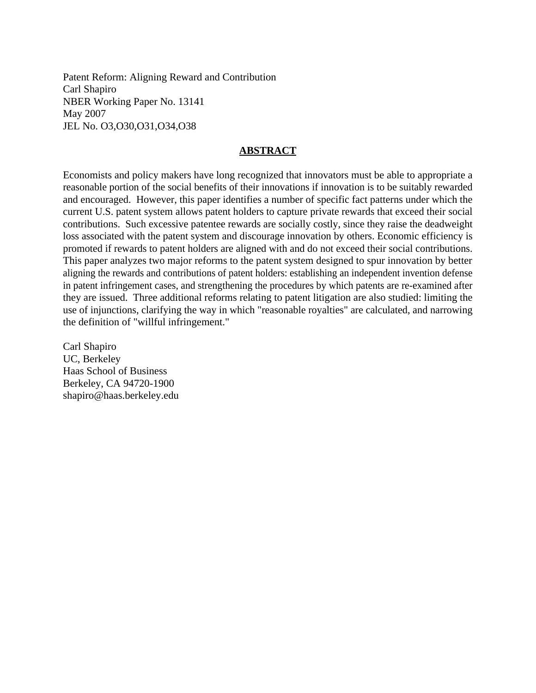Patent Reform: Aligning Reward and Contribution Carl Shapiro NBER Working Paper No. 13141 May 2007 JEL No. O3,O30,O31,O34,O38

#### **ABSTRACT**

Economists and policy makers have long recognized that innovators must be able to appropriate a reasonable portion of the social benefits of their innovations if innovation is to be suitably rewarded and encouraged. However, this paper identifies a number of specific fact patterns under which the current U.S. patent system allows patent holders to capture private rewards that exceed their social contributions. Such excessive patentee rewards are socially costly, since they raise the deadweight loss associated with the patent system and discourage innovation by others. Economic efficiency is promoted if rewards to patent holders are aligned with and do not exceed their social contributions. This paper analyzes two major reforms to the patent system designed to spur innovation by better aligning the rewards and contributions of patent holders: establishing an independent invention defense in patent infringement cases, and strengthening the procedures by which patents are re-examined after they are issued. Three additional reforms relating to patent litigation are also studied: limiting the use of injunctions, clarifying the way in which "reasonable royalties" are calculated, and narrowing the definition of "willful infringement."

Carl Shapiro UC, Berkeley Haas School of Business Berkeley, CA 94720-1900 shapiro@haas.berkeley.edu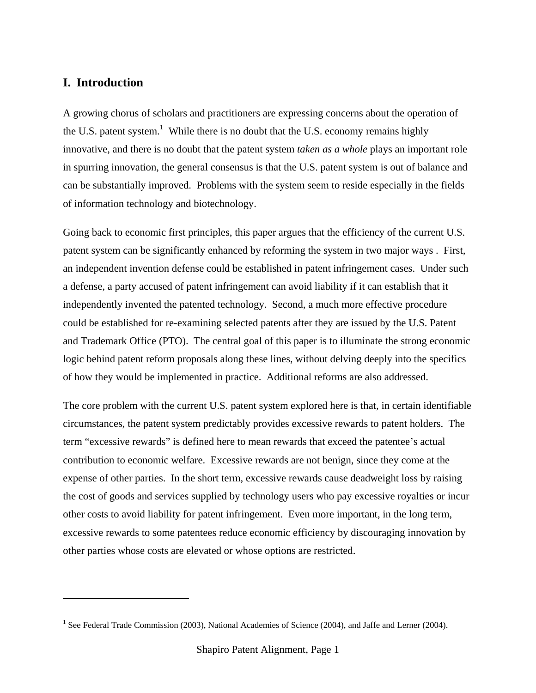## **I. Introduction**

 $\overline{a}$ 

A growing chorus of scholars and practitioners are expressing concerns about the operation of the U.S. patent system.<sup>1</sup> While there is no doubt that the U.S. economy remains highly innovative, and there is no doubt that the patent system *taken as a whole* plays an important role in spurring innovation, the general consensus is that the U.S. patent system is out of balance and can be substantially improved. Problems with the system seem to reside especially in the fields of information technology and biotechnology.

Going back to economic first principles, this paper argues that the efficiency of the current U.S. patent system can be significantly enhanced by reforming the system in two major ways . First, an independent invention defense could be established in patent infringement cases. Under such a defense, a party accused of patent infringement can avoid liability if it can establish that it independently invented the patented technology. Second, a much more effective procedure could be established for re-examining selected patents after they are issued by the U.S. Patent and Trademark Office (PTO). The central goal of this paper is to illuminate the strong economic logic behind patent reform proposals along these lines, without delving deeply into the specifics of how they would be implemented in practice. Additional reforms are also addressed.

The core problem with the current U.S. patent system explored here is that, in certain identifiable circumstances, the patent system predictably provides excessive rewards to patent holders. The term "excessive rewards" is defined here to mean rewards that exceed the patentee's actual contribution to economic welfare. Excessive rewards are not benign, since they come at the expense of other parties. In the short term, excessive rewards cause deadweight loss by raising the cost of goods and services supplied by technology users who pay excessive royalties or incur other costs to avoid liability for patent infringement. Even more important, in the long term, excessive rewards to some patentees reduce economic efficiency by discouraging innovation by other parties whose costs are elevated or whose options are restricted.

<sup>&</sup>lt;sup>1</sup> See Federal Trade Commission (2003), National Academies of Science (2004), and Jaffe and Lerner (2004).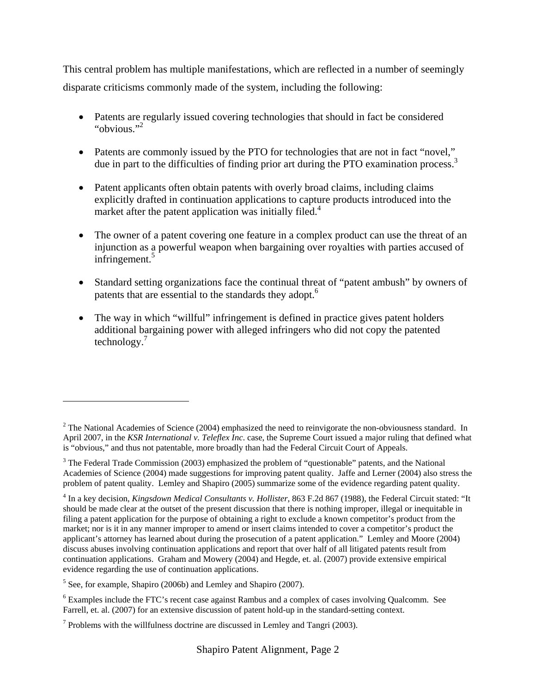This central problem has multiple manifestations, which are reflected in a number of seemingly disparate criticisms commonly made of the system, including the following:

- Patents are regularly issued covering technologies that should in fact be considered "obvious."<sup>2</sup>
- Patents are commonly issued by the PTO for technologies that are not in fact "novel," due in part to the difficulties of finding prior art during the PTO examination process.<sup>3</sup>
- Patent applicants often obtain patents with overly broad claims, including claims explicitly drafted in continuation applications to capture products introduced into the market after the patent application was initially filed.<sup>4</sup>
- The owner of a patent covering one feature in a complex product can use the threat of an injunction as a powerful weapon when bargaining over royalties with parties accused of infringement.<sup>5</sup>
- Standard setting organizations face the continual threat of "patent ambush" by owners of patents that are essential to the standards they adopt.<sup>6</sup>
- The way in which "willful" infringement is defined in practice gives patent holders additional bargaining power with alleged infringers who did not copy the patented technology. $<sup>7</sup>$ </sup>

 $2^2$  The National Academies of Science (2004) emphasized the need to reinvigorate the non-obviousness standard. In April 2007, in the *KSR International v. Teleflex Inc*. case, the Supreme Court issued a major ruling that defined what is "obvious," and thus not patentable, more broadly than had the Federal Circuit Court of Appeals.

 $3$  The Federal Trade Commission (2003) emphasized the problem of "questionable" patents, and the National Academies of Science (2004) made suggestions for improving patent quality. Jaffe and Lerner (2004) also stress the problem of patent quality. Lemley and Shapiro (2005) summarize some of the evidence regarding patent quality.

<sup>4</sup> In a key decision, *Kingsdown Medical Consultants v. Hollister*, 863 F.2d 867 (1988), the Federal Circuit stated: "It should be made clear at the outset of the present discussion that there is nothing improper, illegal or inequitable in filing a patent application for the purpose of obtaining a right to exclude a known competitor's product from the market; nor is it in any manner improper to amend or insert claims intended to cover a competitor's product the applicant's attorney has learned about during the prosecution of a patent application." Lemley and Moore (2004) discuss abuses involving continuation applications and report that over half of all litigated patents result from continuation applications. Graham and Mowery (2004) and Hegde, et. al. (2007) provide extensive empirical evidence regarding the use of continuation applications.

 $<sup>5</sup>$  See, for example, Shapiro (2006b) and Lemley and Shapiro (2007).</sup>

<sup>&</sup>lt;sup>6</sup> Examples include the FTC's recent case against Rambus and a complex of cases involving Qualcomm. See Farrell, et. al. (2007) for an extensive discussion of patent hold-up in the standard-setting context.

 $<sup>7</sup>$  Problems with the willfulness doctrine are discussed in Lemley and Tangri (2003).</sup>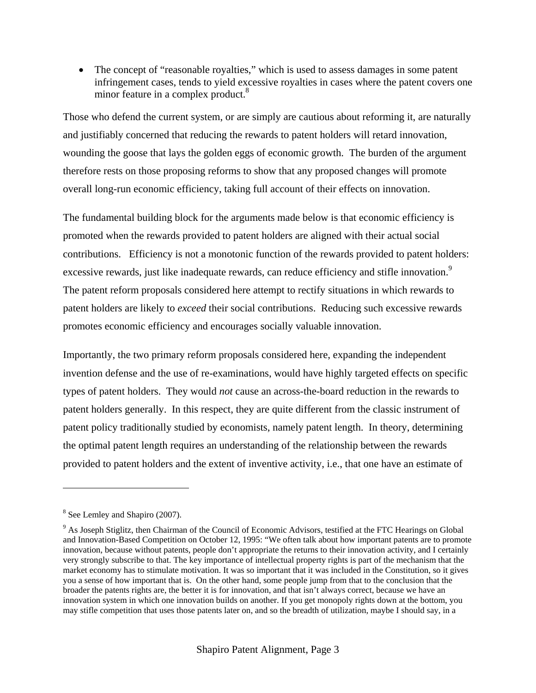• The concept of "reasonable royalties," which is used to assess damages in some patent infringement cases, tends to yield excessive royalties in cases where the patent covers one minor feature in a complex product.<sup>8</sup>

Those who defend the current system, or are simply are cautious about reforming it, are naturally and justifiably concerned that reducing the rewards to patent holders will retard innovation, wounding the goose that lays the golden eggs of economic growth. The burden of the argument therefore rests on those proposing reforms to show that any proposed changes will promote overall long-run economic efficiency, taking full account of their effects on innovation.

The fundamental building block for the arguments made below is that economic efficiency is promoted when the rewards provided to patent holders are aligned with their actual social contributions. Efficiency is not a monotonic function of the rewards provided to patent holders: excessive rewards, just like inadequate rewards, can reduce efficiency and stifle innovation.<sup>9</sup> The patent reform proposals considered here attempt to rectify situations in which rewards to patent holders are likely to *exceed* their social contributions. Reducing such excessive rewards promotes economic efficiency and encourages socially valuable innovation.

Importantly, the two primary reform proposals considered here, expanding the independent invention defense and the use of re-examinations, would have highly targeted effects on specific types of patent holders. They would *not* cause an across-the-board reduction in the rewards to patent holders generally. In this respect, they are quite different from the classic instrument of patent policy traditionally studied by economists, namely patent length. In theory, determining the optimal patent length requires an understanding of the relationship between the rewards provided to patent holders and the extent of inventive activity, i.e., that one have an estimate of

<sup>&</sup>lt;sup>8</sup> See Lemley and Shapiro (2007).

<sup>&</sup>lt;sup>9</sup> As Joseph Stiglitz, then Chairman of the Council of Economic Advisors, testified at the FTC Hearings on Global and Innovation-Based Competition on October 12, 1995: "We often talk about how important patents are to promote innovation, because without patents, people don't appropriate the returns to their innovation activity, and I certainly very strongly subscribe to that. The key importance of intellectual property rights is part of the mechanism that the market economy has to stimulate motivation. It was so important that it was included in the Constitution, so it gives you a sense of how important that is. On the other hand, some people jump from that to the conclusion that the broader the patents rights are, the better it is for innovation, and that isn't always correct, because we have an innovation system in which one innovation builds on another. If you get monopoly rights down at the bottom, you may stifle competition that uses those patents later on, and so the breadth of utilization, maybe I should say, in a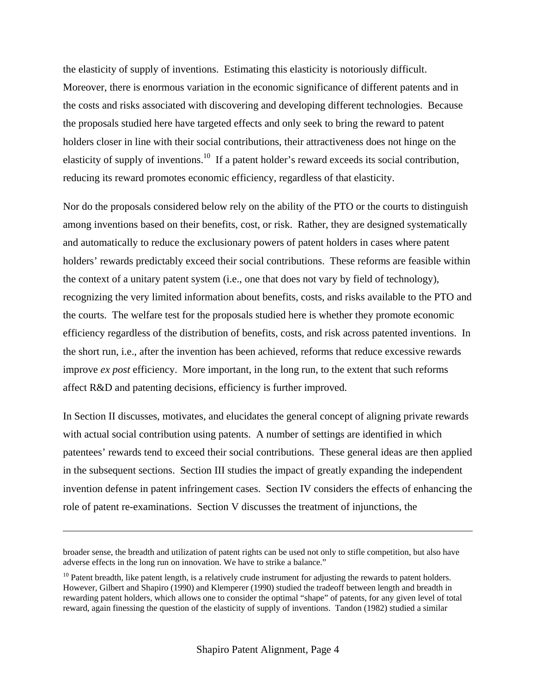the elasticity of supply of inventions. Estimating this elasticity is notoriously difficult. Moreover, there is enormous variation in the economic significance of different patents and in the costs and risks associated with discovering and developing different technologies. Because the proposals studied here have targeted effects and only seek to bring the reward to patent holders closer in line with their social contributions, their attractiveness does not hinge on the elasticity of supply of inventions.<sup>10</sup> If a patent holder's reward exceeds its social contribution, reducing its reward promotes economic efficiency, regardless of that elasticity.

Nor do the proposals considered below rely on the ability of the PTO or the courts to distinguish among inventions based on their benefits, cost, or risk. Rather, they are designed systematically and automatically to reduce the exclusionary powers of patent holders in cases where patent holders' rewards predictably exceed their social contributions. These reforms are feasible within the context of a unitary patent system (i.e., one that does not vary by field of technology), recognizing the very limited information about benefits, costs, and risks available to the PTO and the courts. The welfare test for the proposals studied here is whether they promote economic efficiency regardless of the distribution of benefits, costs, and risk across patented inventions. In the short run, i.e., after the invention has been achieved, reforms that reduce excessive rewards improve *ex post* efficiency. More important, in the long run, to the extent that such reforms affect R&D and patenting decisions, efficiency is further improved.

In Section II discusses, motivates, and elucidates the general concept of aligning private rewards with actual social contribution using patents. A number of settings are identified in which patentees' rewards tend to exceed their social contributions. These general ideas are then applied in the subsequent sections. Section III studies the impact of greatly expanding the independent invention defense in patent infringement cases. Section IV considers the effects of enhancing the role of patent re-examinations. Section V discusses the treatment of injunctions, the

broader sense, the breadth and utilization of patent rights can be used not only to stifle competition, but also have adverse effects in the long run on innovation. We have to strike a balance."

 $10$  Patent breadth, like patent length, is a relatively crude instrument for adjusting the rewards to patent holders. However, Gilbert and Shapiro (1990) and Klemperer (1990) studied the tradeoff between length and breadth in rewarding patent holders, which allows one to consider the optimal "shape" of patents, for any given level of total reward, again finessing the question of the elasticity of supply of inventions. Tandon (1982) studied a similar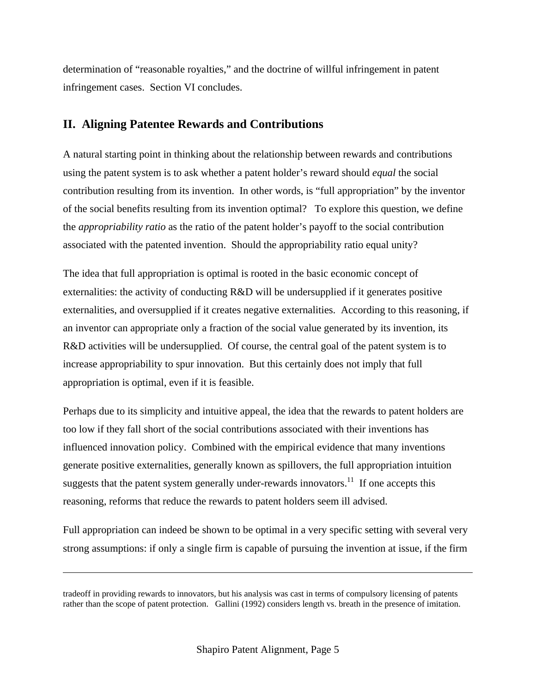determination of "reasonable royalties," and the doctrine of willful infringement in patent infringement cases. Section VI concludes.

### **II. Aligning Patentee Rewards and Contributions**

A natural starting point in thinking about the relationship between rewards and contributions using the patent system is to ask whether a patent holder's reward should *equal* the social contribution resulting from its invention. In other words, is "full appropriation" by the inventor of the social benefits resulting from its invention optimal? To explore this question, we define the *appropriability ratio* as the ratio of the patent holder's payoff to the social contribution associated with the patented invention. Should the appropriability ratio equal unity?

The idea that full appropriation is optimal is rooted in the basic economic concept of externalities: the activity of conducting R&D will be undersupplied if it generates positive externalities, and oversupplied if it creates negative externalities. According to this reasoning, if an inventor can appropriate only a fraction of the social value generated by its invention, its R&D activities will be undersupplied. Of course, the central goal of the patent system is to increase appropriability to spur innovation. But this certainly does not imply that full appropriation is optimal, even if it is feasible.

Perhaps due to its simplicity and intuitive appeal, the idea that the rewards to patent holders are too low if they fall short of the social contributions associated with their inventions has influenced innovation policy. Combined with the empirical evidence that many inventions generate positive externalities, generally known as spillovers, the full appropriation intuition suggests that the patent system generally under-rewards innovators.<sup>11</sup> If one accepts this reasoning, reforms that reduce the rewards to patent holders seem ill advised.

Full appropriation can indeed be shown to be optimal in a very specific setting with several very strong assumptions: if only a single firm is capable of pursuing the invention at issue, if the firm

tradeoff in providing rewards to innovators, but his analysis was cast in terms of compulsory licensing of patents rather than the scope of patent protection. Gallini (1992) considers length vs. breath in the presence of imitation.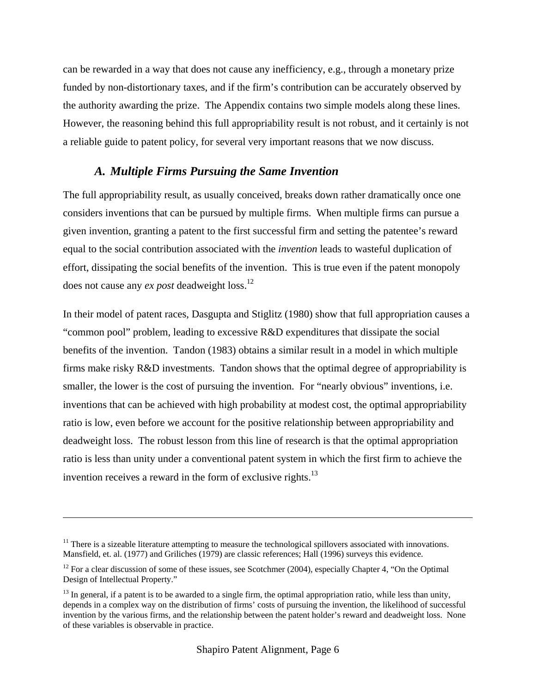can be rewarded in a way that does not cause any inefficiency, e.g., through a monetary prize funded by non-distortionary taxes, and if the firm's contribution can be accurately observed by the authority awarding the prize. The Appendix contains two simple models along these lines. However, the reasoning behind this full appropriability result is not robust, and it certainly is not a reliable guide to patent policy, for several very important reasons that we now discuss.

### *A. Multiple Firms Pursuing the Same Invention*

The full appropriability result, as usually conceived, breaks down rather dramatically once one considers inventions that can be pursued by multiple firms. When multiple firms can pursue a given invention, granting a patent to the first successful firm and setting the patentee's reward equal to the social contribution associated with the *invention* leads to wasteful duplication of effort, dissipating the social benefits of the invention. This is true even if the patent monopoly does not cause any *ex post* deadweight loss.12

In their model of patent races, Dasgupta and Stiglitz (1980) show that full appropriation causes a "common pool" problem, leading to excessive R&D expenditures that dissipate the social benefits of the invention. Tandon (1983) obtains a similar result in a model in which multiple firms make risky R&D investments. Tandon shows that the optimal degree of appropriability is smaller, the lower is the cost of pursuing the invention. For "nearly obvious" inventions, i.e. inventions that can be achieved with high probability at modest cost, the optimal appropriability ratio is low, even before we account for the positive relationship between appropriability and deadweight loss. The robust lesson from this line of research is that the optimal appropriation ratio is less than unity under a conventional patent system in which the first firm to achieve the invention receives a reward in the form of exclusive rights. $^{13}$ 

 $11$  There is a sizeable literature attempting to measure the technological spillovers associated with innovations. Mansfield, et. al. (1977) and Griliches (1979) are classic references; Hall (1996) surveys this evidence.

<sup>&</sup>lt;sup>12</sup> For a clear discussion of some of these issues, see Scotchmer (2004), especially Chapter 4, "On the Optimal" Design of Intellectual Property."

 $^{13}$  In general, if a patent is to be awarded to a single firm, the optimal appropriation ratio, while less than unity, depends in a complex way on the distribution of firms' costs of pursuing the invention, the likelihood of successful invention by the various firms, and the relationship between the patent holder's reward and deadweight loss. None of these variables is observable in practice.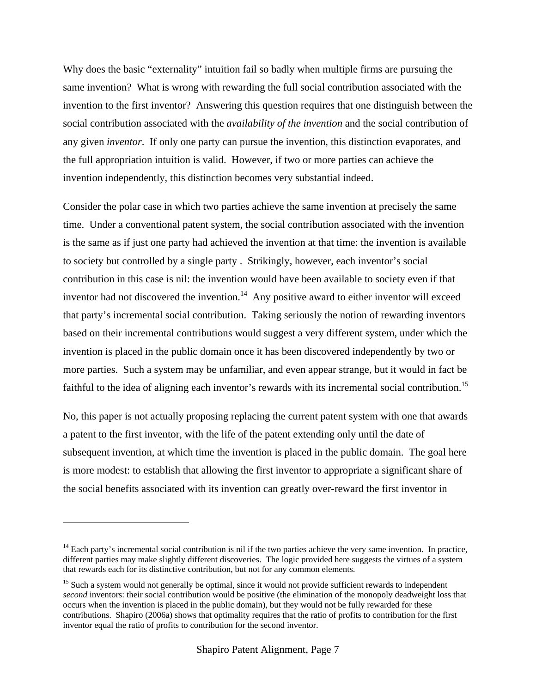Why does the basic "externality" intuition fail so badly when multiple firms are pursuing the same invention? What is wrong with rewarding the full social contribution associated with the invention to the first inventor? Answering this question requires that one distinguish between the social contribution associated with the *availability of the invention* and the social contribution of any given *inventor*. If only one party can pursue the invention, this distinction evaporates, and the full appropriation intuition is valid. However, if two or more parties can achieve the invention independently, this distinction becomes very substantial indeed.

Consider the polar case in which two parties achieve the same invention at precisely the same time. Under a conventional patent system, the social contribution associated with the invention is the same as if just one party had achieved the invention at that time: the invention is available to society but controlled by a single party . Strikingly, however, each inventor's social contribution in this case is nil: the invention would have been available to society even if that inventor had not discovered the invention.<sup>14</sup> Any positive award to either inventor will exceed that party's incremental social contribution. Taking seriously the notion of rewarding inventors based on their incremental contributions would suggest a very different system, under which the invention is placed in the public domain once it has been discovered independently by two or more parties. Such a system may be unfamiliar, and even appear strange, but it would in fact be faithful to the idea of aligning each inventor's rewards with its incremental social contribution.<sup>15</sup>

No, this paper is not actually proposing replacing the current patent system with one that awards a patent to the first inventor, with the life of the patent extending only until the date of subsequent invention, at which time the invention is placed in the public domain. The goal here is more modest: to establish that allowing the first inventor to appropriate a significant share of the social benefits associated with its invention can greatly over-reward the first inventor in

<u>.</u>

 $<sup>14</sup>$  Each party's incremental social contribution is nil if the two parties achieve the very same invention. In practice,</sup> different parties may make slightly different discoveries. The logic provided here suggests the virtues of a system that rewards each for its distinctive contribution, but not for any common elements.

<sup>&</sup>lt;sup>15</sup> Such a system would not generally be optimal, since it would not provide sufficient rewards to independent *second* inventors: their social contribution would be positive (the elimination of the monopoly deadweight loss that occurs when the invention is placed in the public domain), but they would not be fully rewarded for these contributions. Shapiro (2006a) shows that optimality requires that the ratio of profits to contribution for the first inventor equal the ratio of profits to contribution for the second inventor.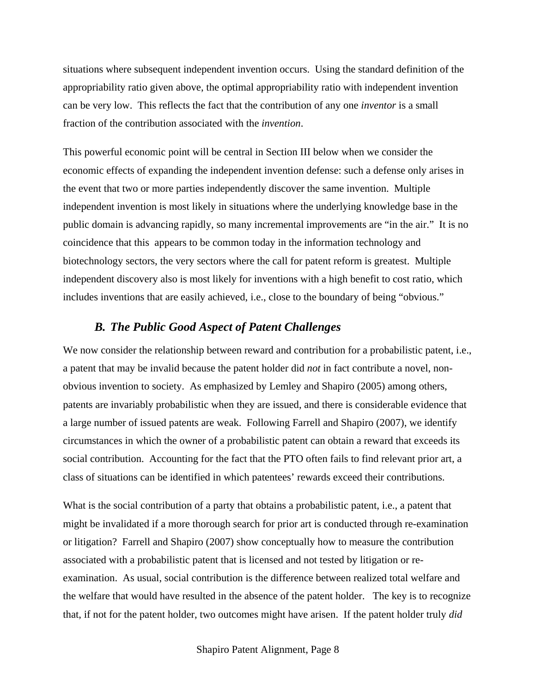situations where subsequent independent invention occurs. Using the standard definition of the appropriability ratio given above, the optimal appropriability ratio with independent invention can be very low. This reflects the fact that the contribution of any one *inventor* is a small fraction of the contribution associated with the *invention*.

This powerful economic point will be central in Section III below when we consider the economic effects of expanding the independent invention defense: such a defense only arises in the event that two or more parties independently discover the same invention. Multiple independent invention is most likely in situations where the underlying knowledge base in the public domain is advancing rapidly, so many incremental improvements are "in the air." It is no coincidence that this appears to be common today in the information technology and biotechnology sectors, the very sectors where the call for patent reform is greatest. Multiple independent discovery also is most likely for inventions with a high benefit to cost ratio, which includes inventions that are easily achieved, i.e., close to the boundary of being "obvious."

#### *B. The Public Good Aspect of Patent Challenges*

We now consider the relationship between reward and contribution for a probabilistic patent, i.e., a patent that may be invalid because the patent holder did *not* in fact contribute a novel, nonobvious invention to society. As emphasized by Lemley and Shapiro (2005) among others, patents are invariably probabilistic when they are issued, and there is considerable evidence that a large number of issued patents are weak. Following Farrell and Shapiro (2007), we identify circumstances in which the owner of a probabilistic patent can obtain a reward that exceeds its social contribution. Accounting for the fact that the PTO often fails to find relevant prior art, a class of situations can be identified in which patentees' rewards exceed their contributions.

What is the social contribution of a party that obtains a probabilistic patent, i.e., a patent that might be invalidated if a more thorough search for prior art is conducted through re-examination or litigation? Farrell and Shapiro (2007) show conceptually how to measure the contribution associated with a probabilistic patent that is licensed and not tested by litigation or reexamination. As usual, social contribution is the difference between realized total welfare and the welfare that would have resulted in the absence of the patent holder. The key is to recognize that, if not for the patent holder, two outcomes might have arisen. If the patent holder truly *did*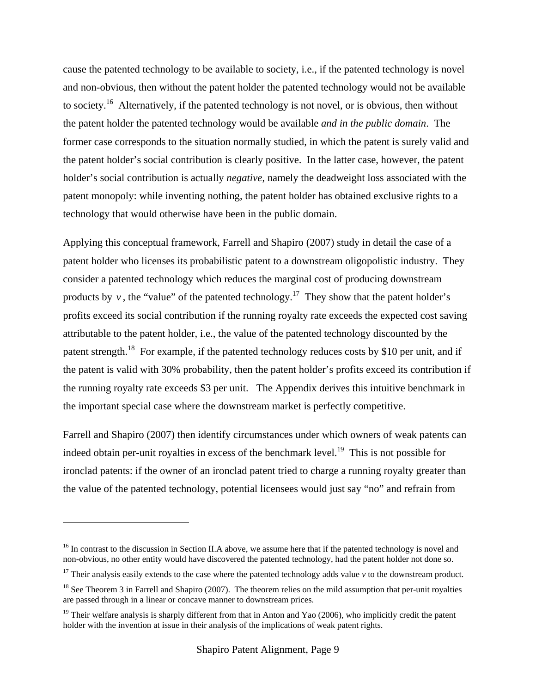cause the patented technology to be available to society, i.e., if the patented technology is novel and non-obvious, then without the patent holder the patented technology would not be available to society.<sup>16</sup> Alternatively, if the patented technology is not novel, or is obvious, then without the patent holder the patented technology would be available *and in the public domain*. The former case corresponds to the situation normally studied, in which the patent is surely valid and the patent holder's social contribution is clearly positive. In the latter case, however, the patent holder's social contribution is actually *negative*, namely the deadweight loss associated with the patent monopoly: while inventing nothing, the patent holder has obtained exclusive rights to a technology that would otherwise have been in the public domain.

Applying this conceptual framework, Farrell and Shapiro (2007) study in detail the case of a patent holder who licenses its probabilistic patent to a downstream oligopolistic industry. They consider a patented technology which reduces the marginal cost of producing downstream products by  $v$ , the "value" of the patented technology.<sup>17</sup> They show that the patent holder's profits exceed its social contribution if the running royalty rate exceeds the expected cost saving attributable to the patent holder, i.e., the value of the patented technology discounted by the patent strength.<sup>18</sup> For example, if the patented technology reduces costs by \$10 per unit, and if the patent is valid with 30% probability, then the patent holder's profits exceed its contribution if the running royalty rate exceeds \$3 per unit. The Appendix derives this intuitive benchmark in the important special case where the downstream market is perfectly competitive.

Farrell and Shapiro (2007) then identify circumstances under which owners of weak patents can indeed obtain per-unit royalties in excess of the benchmark level.<sup>19</sup> This is not possible for ironclad patents: if the owner of an ironclad patent tried to charge a running royalty greater than the value of the patented technology, potential licensees would just say "no" and refrain from

<sup>&</sup>lt;sup>16</sup> In contrast to the discussion in Section II.A above, we assume here that if the patented technology is novel and non-obvious, no other entity would have discovered the patented technology, had the patent holder not done so.

<sup>&</sup>lt;sup>17</sup> Their analysis easily extends to the case where the patented technology adds value  $v$  to the downstream product.

 $18$  See Theorem 3 in Farrell and Shapiro (2007). The theorem relies on the mild assumption that per-unit royalties are passed through in a linear or concave manner to downstream prices.

<sup>&</sup>lt;sup>19</sup> Their welfare analysis is sharply different from that in Anton and Yao (2006), who implicitly credit the patent holder with the invention at issue in their analysis of the implications of weak patent rights.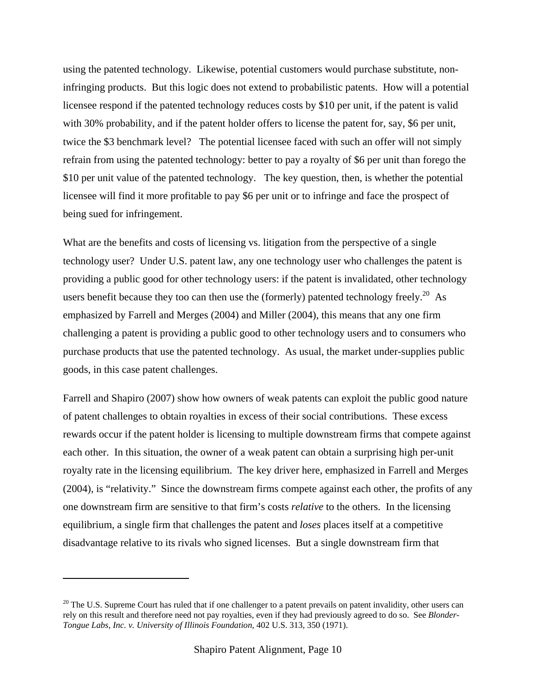using the patented technology. Likewise, potential customers would purchase substitute, noninfringing products. But this logic does not extend to probabilistic patents. How will a potential licensee respond if the patented technology reduces costs by \$10 per unit, if the patent is valid with 30% probability, and if the patent holder offers to license the patent for, say, \$6 per unit, twice the \$3 benchmark level? The potential licensee faced with such an offer will not simply refrain from using the patented technology: better to pay a royalty of \$6 per unit than forego the \$10 per unit value of the patented technology. The key question, then, is whether the potential licensee will find it more profitable to pay \$6 per unit or to infringe and face the prospect of being sued for infringement.

What are the benefits and costs of licensing vs. litigation from the perspective of a single technology user? Under U.S. patent law, any one technology user who challenges the patent is providing a public good for other technology users: if the patent is invalidated, other technology users benefit because they too can then use the (formerly) patented technology freely.<sup>20</sup> As emphasized by Farrell and Merges (2004) and Miller (2004), this means that any one firm challenging a patent is providing a public good to other technology users and to consumers who purchase products that use the patented technology. As usual, the market under-supplies public goods, in this case patent challenges.

Farrell and Shapiro (2007) show how owners of weak patents can exploit the public good nature of patent challenges to obtain royalties in excess of their social contributions. These excess rewards occur if the patent holder is licensing to multiple downstream firms that compete against each other. In this situation, the owner of a weak patent can obtain a surprising high per-unit royalty rate in the licensing equilibrium. The key driver here, emphasized in Farrell and Merges (2004), is "relativity." Since the downstream firms compete against each other, the profits of any one downstream firm are sensitive to that firm's costs *relative* to the others. In the licensing equilibrium, a single firm that challenges the patent and *loses* places itself at a competitive disadvantage relative to its rivals who signed licenses. But a single downstream firm that

 $20$  The U.S. Supreme Court has ruled that if one challenger to a patent prevails on patent invalidity, other users can rely on this result and therefore need not pay royalties, even if they had previously agreed to do so. See *Blonder-Tongue Labs, Inc. v. University of Illinois Foundation,* 402 U.S. 313, 350 (1971).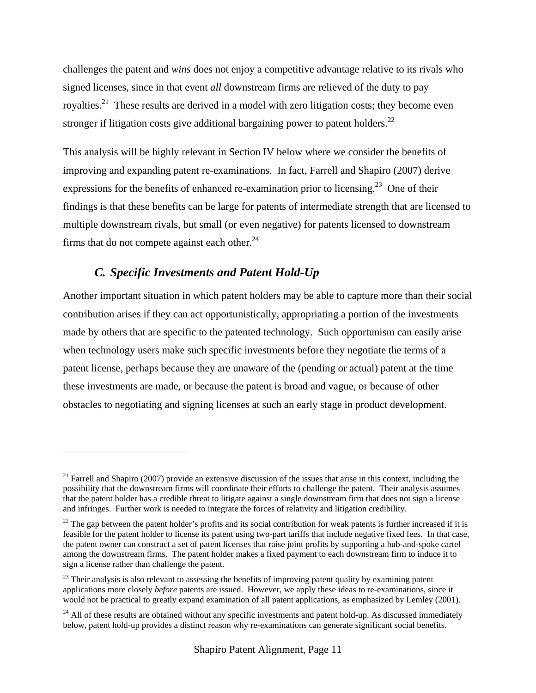challenges the patent and *wins* does not enjoy a competitive advantage relative to its rivals who signed licenses, since in that event *all* downstream firms are relieved of the duty to pay royalties.<sup>21</sup> These results are derived in a model with zero litigation costs; they become even stronger if litigation costs give additional bargaining power to patent holders.<sup>22</sup>

This analysis will be highly relevant in Section IV below where we consider the benefits of improving and expanding patent re-examinations. In fact, Farrell and Shapiro (2007) derive expressions for the benefits of enhanced re-examination prior to licensing.<sup>23</sup> One of their findings is that these benefits can be large for patents of intermediate strength that are licensed to multiple downstream rivals, but small (or even negative) for patents licensed to downstream firms that do not compete against each other. $^{24}$ 

## *C. Specific Investments and Patent Hold-Up*

 $\overline{a}$ 

Another important situation in which patent holders may be able to capture more than their social contribution arises if they can act opportunistically, appropriating a portion of the investments made by others that are specific to the patented technology. Such opportunism can easily arise when technology users make such specific investments before they negotiate the terms of a patent license, perhaps because they are unaware of the (pending or actual) patent at the time these investments are made, or because the patent is broad and vague, or because of other obstacles to negotiating and signing licenses at such an early stage in product development.

 $21$  Farrell and Shapiro (2007) provide an extensive discussion of the issues that arise in this context, including the possibility that the downstream firms will coordinate their efforts to challenge the patent. Their analysis assumes that the patent holder has a credible threat to litigate against a single downstream firm that does not sign a license and infringes. Further work is needed to integrate the forces of relativity and litigation credibility.

 $22$  The gap between the patent holder's profits and its social contribution for weak patents is further increased if it is feasible for the patent holder to license its patent using two-part tariffs that include negative fixed fees. In that case, the patent owner can construct a set of patent licenses that raise joint profits by supporting a hub-and-spoke cartel among the downstream firms. The patent holder makes a fixed payment to each downstream firm to induce it to sign a license rather than challenge the patent.

<sup>&</sup>lt;sup>23</sup> Their analysis is also relevant to assessing the benefits of improving patent quality by examining patent applications more closely *before* patents are issued. However, we apply these ideas to re-examinations, since it would not be practical to greatly expand examination of all patent applications, as emphasized by Lemley (2001).

<sup>&</sup>lt;sup>24</sup> All of these results are obtained without any specific investments and patent hold-up. As discussed immediately below, patent hold-up provides a distinct reason why re-examinations can generate significant social benefits.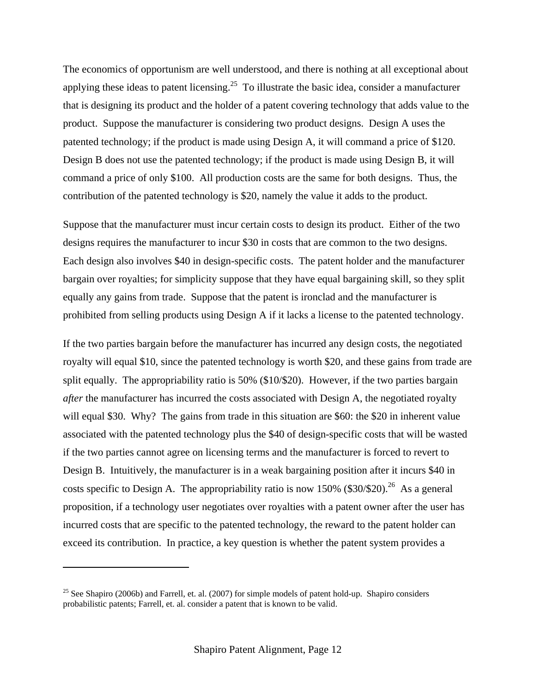The economics of opportunism are well understood, and there is nothing at all exceptional about applying these ideas to patent licensing.<sup>25</sup> To illustrate the basic idea, consider a manufacturer that is designing its product and the holder of a patent covering technology that adds value to the product. Suppose the manufacturer is considering two product designs. Design A uses the patented technology; if the product is made using Design A, it will command a price of \$120. Design B does not use the patented technology; if the product is made using Design B, it will command a price of only \$100. All production costs are the same for both designs. Thus, the contribution of the patented technology is \$20, namely the value it adds to the product.

Suppose that the manufacturer must incur certain costs to design its product. Either of the two designs requires the manufacturer to incur \$30 in costs that are common to the two designs. Each design also involves \$40 in design-specific costs. The patent holder and the manufacturer bargain over royalties; for simplicity suppose that they have equal bargaining skill, so they split equally any gains from trade. Suppose that the patent is ironclad and the manufacturer is prohibited from selling products using Design A if it lacks a license to the patented technology.

If the two parties bargain before the manufacturer has incurred any design costs, the negotiated royalty will equal \$10, since the patented technology is worth \$20, and these gains from trade are split equally. The appropriability ratio is 50% (\$10/\$20). However, if the two parties bargain *after* the manufacturer has incurred the costs associated with Design A, the negotiated royalty will equal \$30. Why? The gains from trade in this situation are \$60: the \$20 in inherent value associated with the patented technology plus the \$40 of design-specific costs that will be wasted if the two parties cannot agree on licensing terms and the manufacturer is forced to revert to Design B. Intuitively, the manufacturer is in a weak bargaining position after it incurs \$40 in costs specific to Design A. The appropriability ratio is now 150% (\$30/\$20).<sup>26</sup> As a general proposition, if a technology user negotiates over royalties with a patent owner after the user has incurred costs that are specific to the patented technology, the reward to the patent holder can exceed its contribution. In practice, a key question is whether the patent system provides a

<sup>&</sup>lt;sup>25</sup> See Shapiro (2006b) and Farrell, et. al. (2007) for simple models of patent hold-up. Shapiro considers probabilistic patents; Farrell, et. al. consider a patent that is known to be valid.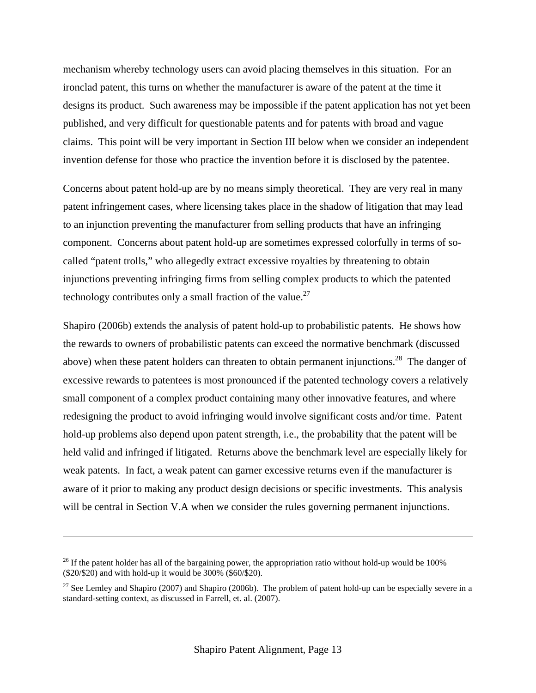mechanism whereby technology users can avoid placing themselves in this situation. For an ironclad patent, this turns on whether the manufacturer is aware of the patent at the time it designs its product. Such awareness may be impossible if the patent application has not yet been published, and very difficult for questionable patents and for patents with broad and vague claims. This point will be very important in Section III below when we consider an independent invention defense for those who practice the invention before it is disclosed by the patentee.

Concerns about patent hold-up are by no means simply theoretical. They are very real in many patent infringement cases, where licensing takes place in the shadow of litigation that may lead to an injunction preventing the manufacturer from selling products that have an infringing component. Concerns about patent hold-up are sometimes expressed colorfully in terms of socalled "patent trolls," who allegedly extract excessive royalties by threatening to obtain injunctions preventing infringing firms from selling complex products to which the patented technology contributes only a small fraction of the value.<sup>27</sup>

Shapiro (2006b) extends the analysis of patent hold-up to probabilistic patents. He shows how the rewards to owners of probabilistic patents can exceed the normative benchmark (discussed above) when these patent holders can threaten to obtain permanent injunctions.<sup>28</sup> The danger of excessive rewards to patentees is most pronounced if the patented technology covers a relatively small component of a complex product containing many other innovative features, and where redesigning the product to avoid infringing would involve significant costs and/or time. Patent hold-up problems also depend upon patent strength, i.e., the probability that the patent will be held valid and infringed if litigated. Returns above the benchmark level are especially likely for weak patents. In fact, a weak patent can garner excessive returns even if the manufacturer is aware of it prior to making any product design decisions or specific investments. This analysis will be central in Section V.A when we consider the rules governing permanent injunctions.

 $^{26}$  If the patent holder has all of the bargaining power, the appropriation ratio without hold-up would be 100% (\$20/\$20) and with hold-up it would be 300% (\$60/\$20).

<sup>&</sup>lt;sup>27</sup> See Lemley and Shapiro (2007) and Shapiro (2006b). The problem of patent hold-up can be especially severe in a standard-setting context, as discussed in Farrell, et. al. (2007).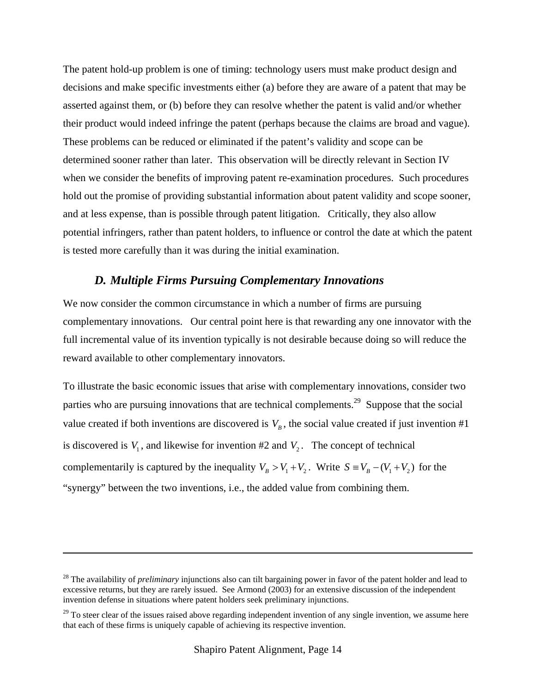The patent hold-up problem is one of timing: technology users must make product design and decisions and make specific investments either (a) before they are aware of a patent that may be asserted against them, or (b) before they can resolve whether the patent is valid and/or whether their product would indeed infringe the patent (perhaps because the claims are broad and vague). These problems can be reduced or eliminated if the patent's validity and scope can be determined sooner rather than later. This observation will be directly relevant in Section IV when we consider the benefits of improving patent re-examination procedures. Such procedures hold out the promise of providing substantial information about patent validity and scope sooner, and at less expense, than is possible through patent litigation. Critically, they also allow potential infringers, rather than patent holders, to influence or control the date at which the patent is tested more carefully than it was during the initial examination.

### *D. Multiple Firms Pursuing Complementary Innovations*

We now consider the common circumstance in which a number of firms are pursuing complementary innovations. Our central point here is that rewarding any one innovator with the full incremental value of its invention typically is not desirable because doing so will reduce the reward available to other complementary innovators.

To illustrate the basic economic issues that arise with complementary innovations, consider two parties who are pursuing innovations that are technical complements.<sup>29</sup> Suppose that the social value created if both inventions are discovered is  $V_B$ , the social value created if just invention #1 is discovered is  $V_1$ , and likewise for invention #2 and  $V_2$ . The concept of technical complementarily is captured by the inequality  $V_B > V_1 + V_2$ . Write  $S = V_B - (V_1 + V_2)$  for the "synergy" between the two inventions, i.e., the added value from combining them.

<sup>&</sup>lt;sup>28</sup> The availability of *preliminary* injunctions also can tilt bargaining power in favor of the patent holder and lead to excessive returns, but they are rarely issued. See Armond (2003) for an extensive discussion of the independent invention defense in situations where patent holders seek preliminary injunctions.

 $29$  To steer clear of the issues raised above regarding independent invention of any single invention, we assume here that each of these firms is uniquely capable of achieving its respective invention.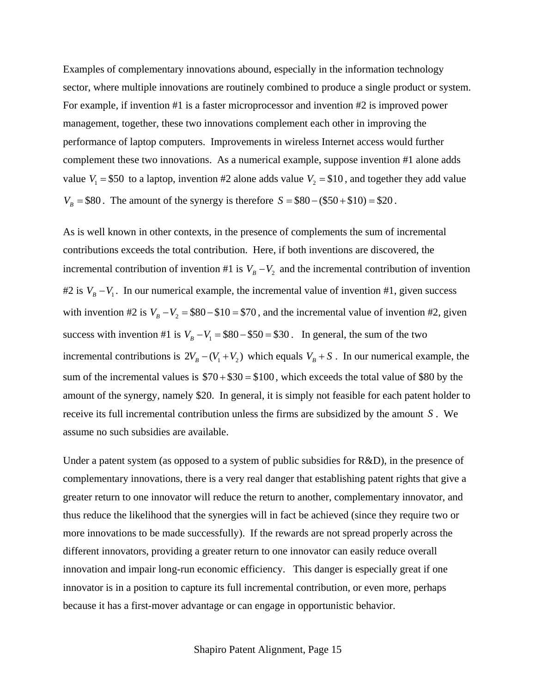Examples of complementary innovations abound, especially in the information technology sector, where multiple innovations are routinely combined to produce a single product or system. For example, if invention #1 is a faster microprocessor and invention #2 is improved power management, together, these two innovations complement each other in improving the performance of laptop computers. Improvements in wireless Internet access would further complement these two innovations. As a numerical example, suppose invention #1 alone adds value  $V_1 = $50$  to a laptop, invention #2 alone adds value  $V_2 = $10$ , and together they add value  $V_B = $80$ . The amount of the synergy is therefore  $S = $80 - ($50 + $10) = $20$ .

As is well known in other contexts, in the presence of complements the sum of incremental contributions exceeds the total contribution. Here, if both inventions are discovered, the incremental contribution of invention #1 is  $V_B - V_2$  and the incremental contribution of invention #2 is  $V_B - V_1$ . In our numerical example, the incremental value of invention #1, given success with invention #2 is  $V_B - V_2 = $80 - $10 = $70$ , and the incremental value of invention #2, given success with invention #1 is  $V_B - V_1 = $80 - $50 = $30$ . In general, the sum of the two incremental contributions is  $2V_B - (V_1 + V_2)$  which equals  $V_B + S$ . In our numerical example, the sum of the incremental values is  $$70 + $30 = $100$ , which exceeds the total value of \$80 by the amount of the synergy, namely \$20. In general, it is simply not feasible for each patent holder to receive its full incremental contribution unless the firms are subsidized by the amount *S* . We assume no such subsidies are available.

Under a patent system (as opposed to a system of public subsidies for R&D), in the presence of complementary innovations, there is a very real danger that establishing patent rights that give a greater return to one innovator will reduce the return to another, complementary innovator, and thus reduce the likelihood that the synergies will in fact be achieved (since they require two or more innovations to be made successfully). If the rewards are not spread properly across the different innovators, providing a greater return to one innovator can easily reduce overall innovation and impair long-run economic efficiency. This danger is especially great if one innovator is in a position to capture its full incremental contribution, or even more, perhaps because it has a first-mover advantage or can engage in opportunistic behavior.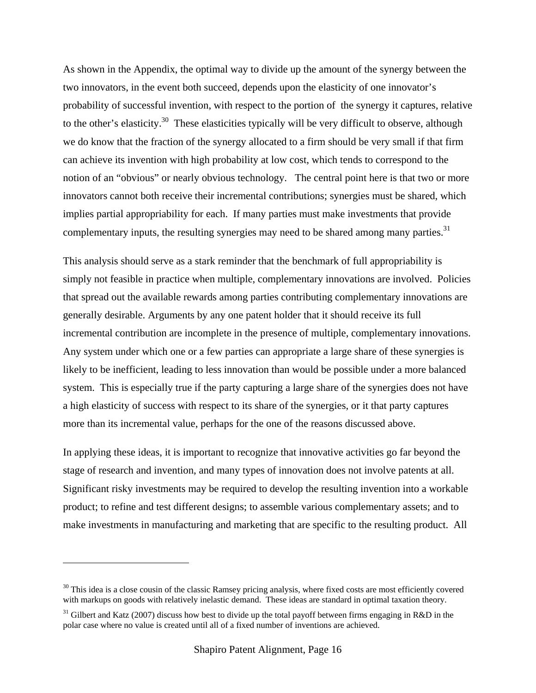As shown in the Appendix, the optimal way to divide up the amount of the synergy between the two innovators, in the event both succeed, depends upon the elasticity of one innovator's probability of successful invention, with respect to the portion of the synergy it captures, relative to the other's elasticity.<sup>30</sup> These elasticities typically will be very difficult to observe, although we do know that the fraction of the synergy allocated to a firm should be very small if that firm can achieve its invention with high probability at low cost, which tends to correspond to the notion of an "obvious" or nearly obvious technology. The central point here is that two or more innovators cannot both receive their incremental contributions; synergies must be shared, which implies partial appropriability for each. If many parties must make investments that provide complementary inputs, the resulting synergies may need to be shared among many parties.<sup>31</sup>

This analysis should serve as a stark reminder that the benchmark of full appropriability is simply not feasible in practice when multiple, complementary innovations are involved. Policies that spread out the available rewards among parties contributing complementary innovations are generally desirable. Arguments by any one patent holder that it should receive its full incremental contribution are incomplete in the presence of multiple, complementary innovations. Any system under which one or a few parties can appropriate a large share of these synergies is likely to be inefficient, leading to less innovation than would be possible under a more balanced system. This is especially true if the party capturing a large share of the synergies does not have a high elasticity of success with respect to its share of the synergies, or it that party captures more than its incremental value, perhaps for the one of the reasons discussed above.

In applying these ideas, it is important to recognize that innovative activities go far beyond the stage of research and invention, and many types of innovation does not involve patents at all. Significant risky investments may be required to develop the resulting invention into a workable product; to refine and test different designs; to assemble various complementary assets; and to make investments in manufacturing and marketing that are specific to the resulting product. All

 $30$  This idea is a close cousin of the classic Ramsey pricing analysis, where fixed costs are most efficiently covered with markups on goods with relatively inelastic demand. These ideas are standard in optimal taxation theory.

<sup>&</sup>lt;sup>31</sup> Gilbert and Katz (2007) discuss how best to divide up the total payoff between firms engaging in R&D in the polar case where no value is created until all of a fixed number of inventions are achieved.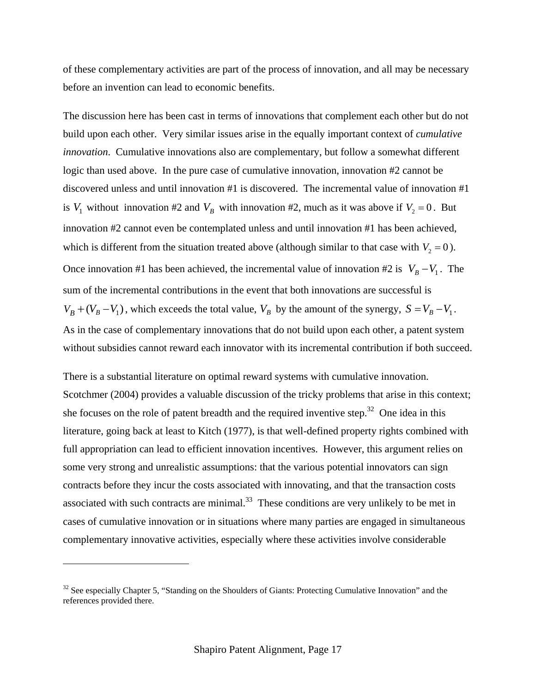of these complementary activities are part of the process of innovation, and all may be necessary before an invention can lead to economic benefits.

The discussion here has been cast in terms of innovations that complement each other but do not build upon each other. Very similar issues arise in the equally important context of *cumulative innovation*. Cumulative innovations also are complementary, but follow a somewhat different logic than used above. In the pure case of cumulative innovation, innovation #2 cannot be discovered unless and until innovation #1 is discovered. The incremental value of innovation #1 is  $V_1$  without innovation #2 and  $V_B$  with innovation #2, much as it was above if  $V_2 = 0$ . But innovation #2 cannot even be contemplated unless and until innovation #1 has been achieved, which is different from the situation treated above (although similar to that case with  $V_2 = 0$ ). Once innovation #1 has been achieved, the incremental value of innovation #2 is  $V_B - V_1$ . The sum of the incremental contributions in the event that both innovations are successful is  $V_B + (V_B - V_1)$ , which exceeds the total value,  $V_B$  by the amount of the synergy,  $S = V_B - V_1$ . As in the case of complementary innovations that do not build upon each other, a patent system without subsidies cannot reward each innovator with its incremental contribution if both succeed.

There is a substantial literature on optimal reward systems with cumulative innovation. Scotchmer (2004) provides a valuable discussion of the tricky problems that arise in this context; she focuses on the role of patent breadth and the required inventive step. $32$  One idea in this literature, going back at least to Kitch (1977), is that well-defined property rights combined with full appropriation can lead to efficient innovation incentives. However, this argument relies on some very strong and unrealistic assumptions: that the various potential innovators can sign contracts before they incur the costs associated with innovating, and that the transaction costs associated with such contracts are minimal. $33$  These conditions are very unlikely to be met in cases of cumulative innovation or in situations where many parties are engaged in simultaneous complementary innovative activities, especially where these activities involve considerable

 $32$  See especially Chapter 5, "Standing on the Shoulders of Giants: Protecting Cumulative Innovation" and the references provided there.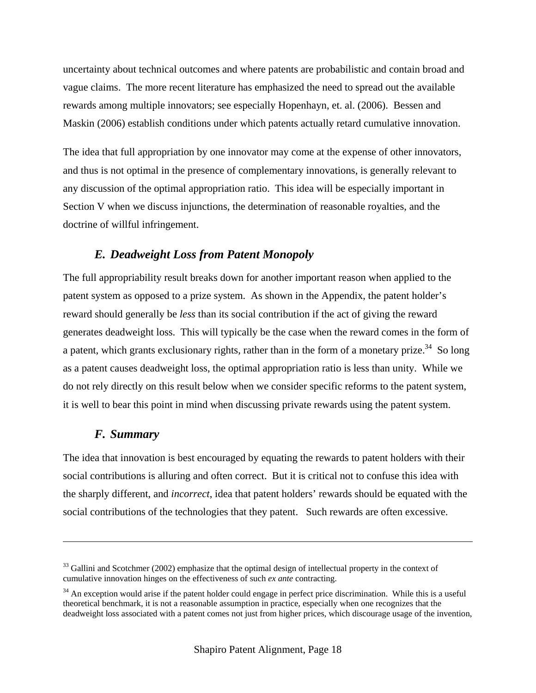uncertainty about technical outcomes and where patents are probabilistic and contain broad and vague claims. The more recent literature has emphasized the need to spread out the available rewards among multiple innovators; see especially Hopenhayn, et. al. (2006). Bessen and Maskin (2006) establish conditions under which patents actually retard cumulative innovation.

The idea that full appropriation by one innovator may come at the expense of other innovators, and thus is not optimal in the presence of complementary innovations, is generally relevant to any discussion of the optimal appropriation ratio. This idea will be especially important in Section V when we discuss injunctions, the determination of reasonable royalties, and the doctrine of willful infringement.

## *E. Deadweight Loss from Patent Monopoly*

The full appropriability result breaks down for another important reason when applied to the patent system as opposed to a prize system. As shown in the Appendix, the patent holder's reward should generally be *less* than its social contribution if the act of giving the reward generates deadweight loss. This will typically be the case when the reward comes in the form of a patent, which grants exclusionary rights, rather than in the form of a monetary prize.<sup>34</sup> So long as a patent causes deadweight loss, the optimal appropriation ratio is less than unity. While we do not rely directly on this result below when we consider specific reforms to the patent system, it is well to bear this point in mind when discussing private rewards using the patent system.

## *F. Summary*

1

The idea that innovation is best encouraged by equating the rewards to patent holders with their social contributions is alluring and often correct. But it is critical not to confuse this idea with the sharply different, and *incorrect*, idea that patent holders' rewards should be equated with the social contributions of the technologies that they patent. Such rewards are often excessive.

<sup>&</sup>lt;sup>33</sup> Gallini and Scotchmer (2002) emphasize that the optimal design of intellectual property in the context of cumulative innovation hinges on the effectiveness of such *ex ante* contracting.

 $34$  An exception would arise if the patent holder could engage in perfect price discrimination. While this is a useful theoretical benchmark, it is not a reasonable assumption in practice, especially when one recognizes that the deadweight loss associated with a patent comes not just from higher prices, which discourage usage of the invention,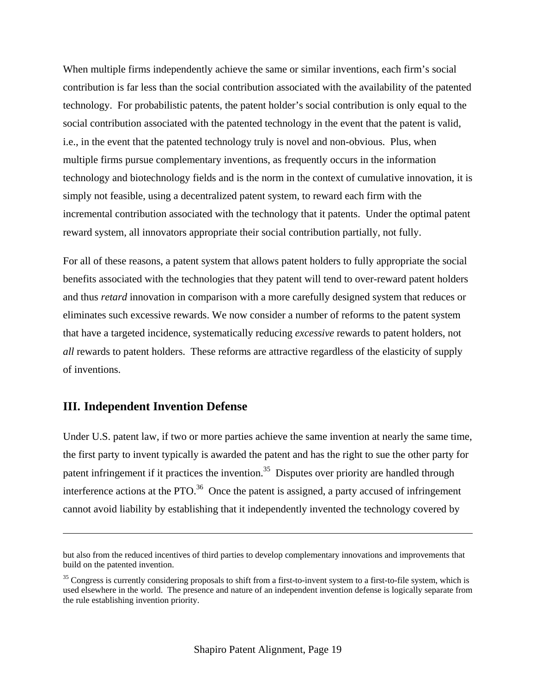When multiple firms independently achieve the same or similar inventions, each firm's social contribution is far less than the social contribution associated with the availability of the patented technology. For probabilistic patents, the patent holder's social contribution is only equal to the social contribution associated with the patented technology in the event that the patent is valid, i.e., in the event that the patented technology truly is novel and non-obvious. Plus, when multiple firms pursue complementary inventions, as frequently occurs in the information technology and biotechnology fields and is the norm in the context of cumulative innovation, it is simply not feasible, using a decentralized patent system, to reward each firm with the incremental contribution associated with the technology that it patents. Under the optimal patent reward system, all innovators appropriate their social contribution partially, not fully.

For all of these reasons, a patent system that allows patent holders to fully appropriate the social benefits associated with the technologies that they patent will tend to over-reward patent holders and thus *retard* innovation in comparison with a more carefully designed system that reduces or eliminates such excessive rewards. We now consider a number of reforms to the patent system that have a targeted incidence, systematically reducing *excessive* rewards to patent holders, not *all* rewards to patent holders. These reforms are attractive regardless of the elasticity of supply of inventions.

## **III. Independent Invention Defense**

 $\overline{a}$ 

Under U.S. patent law, if two or more parties achieve the same invention at nearly the same time, the first party to invent typically is awarded the patent and has the right to sue the other party for patent infringement if it practices the invention.<sup>35</sup> Disputes over priority are handled through interference actions at the PTO. $^{36}$  Once the patent is assigned, a party accused of infringement cannot avoid liability by establishing that it independently invented the technology covered by

but also from the reduced incentives of third parties to develop complementary innovations and improvements that build on the patented invention.

 $35$  Congress is currently considering proposals to shift from a first-to-invent system to a first-to-file system, which is used elsewhere in the world. The presence and nature of an independent invention defense is logically separate from the rule establishing invention priority.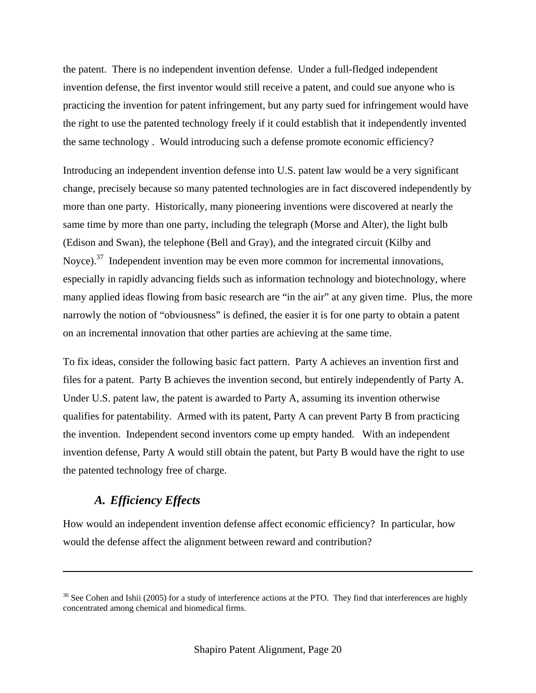the patent. There is no independent invention defense. Under a full-fledged independent invention defense, the first inventor would still receive a patent, and could sue anyone who is practicing the invention for patent infringement, but any party sued for infringement would have the right to use the patented technology freely if it could establish that it independently invented the same technology . Would introducing such a defense promote economic efficiency?

Introducing an independent invention defense into U.S. patent law would be a very significant change, precisely because so many patented technologies are in fact discovered independently by more than one party. Historically, many pioneering inventions were discovered at nearly the same time by more than one party, including the telegraph (Morse and Alter), the light bulb (Edison and Swan), the telephone (Bell and Gray), and the integrated circuit (Kilby and Noyce).<sup>37</sup> Independent invention may be even more common for incremental innovations, especially in rapidly advancing fields such as information technology and biotechnology, where many applied ideas flowing from basic research are "in the air" at any given time. Plus, the more narrowly the notion of "obviousness" is defined, the easier it is for one party to obtain a patent on an incremental innovation that other parties are achieving at the same time.

To fix ideas, consider the following basic fact pattern. Party A achieves an invention first and files for a patent. Party B achieves the invention second, but entirely independently of Party A. Under U.S. patent law, the patent is awarded to Party A, assuming its invention otherwise qualifies for patentability. Armed with its patent, Party A can prevent Party B from practicing the invention. Independent second inventors come up empty handed. With an independent invention defense, Party A would still obtain the patent, but Party B would have the right to use the patented technology free of charge.

### *A. Efficiency Effects*

 $\overline{a}$ 

How would an independent invention defense affect economic efficiency? In particular, how would the defense affect the alignment between reward and contribution?

<sup>&</sup>lt;sup>36</sup> See Cohen and Ishii (2005) for a study of interference actions at the PTO. They find that interferences are highly concentrated among chemical and biomedical firms.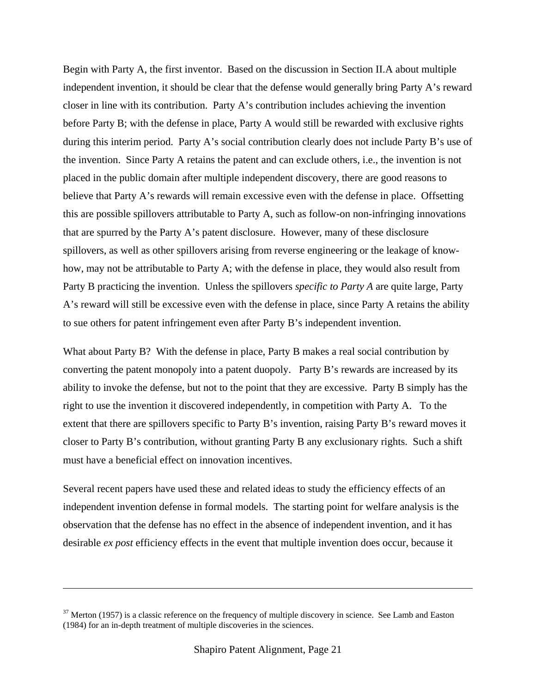Begin with Party A, the first inventor. Based on the discussion in Section II.A about multiple independent invention, it should be clear that the defense would generally bring Party A's reward closer in line with its contribution. Party A's contribution includes achieving the invention before Party B; with the defense in place, Party A would still be rewarded with exclusive rights during this interim period. Party A's social contribution clearly does not include Party B's use of the invention. Since Party A retains the patent and can exclude others, i.e., the invention is not placed in the public domain after multiple independent discovery, there are good reasons to believe that Party A's rewards will remain excessive even with the defense in place. Offsetting this are possible spillovers attributable to Party A, such as follow-on non-infringing innovations that are spurred by the Party A's patent disclosure. However, many of these disclosure spillovers, as well as other spillovers arising from reverse engineering or the leakage of knowhow, may not be attributable to Party A; with the defense in place, they would also result from Party B practicing the invention. Unless the spillovers *specific to Party A* are quite large, Party A's reward will still be excessive even with the defense in place, since Party A retains the ability to sue others for patent infringement even after Party B's independent invention.

What about Party B? With the defense in place, Party B makes a real social contribution by converting the patent monopoly into a patent duopoly. Party B's rewards are increased by its ability to invoke the defense, but not to the point that they are excessive. Party B simply has the right to use the invention it discovered independently, in competition with Party A. To the extent that there are spillovers specific to Party B's invention, raising Party B's reward moves it closer to Party B's contribution, without granting Party B any exclusionary rights. Such a shift must have a beneficial effect on innovation incentives.

Several recent papers have used these and related ideas to study the efficiency effects of an independent invention defense in formal models. The starting point for welfare analysis is the observation that the defense has no effect in the absence of independent invention, and it has desirable *ex post* efficiency effects in the event that multiple invention does occur, because it

 $37$  Merton (1957) is a classic reference on the frequency of multiple discovery in science. See Lamb and Easton (1984) for an in-depth treatment of multiple discoveries in the sciences.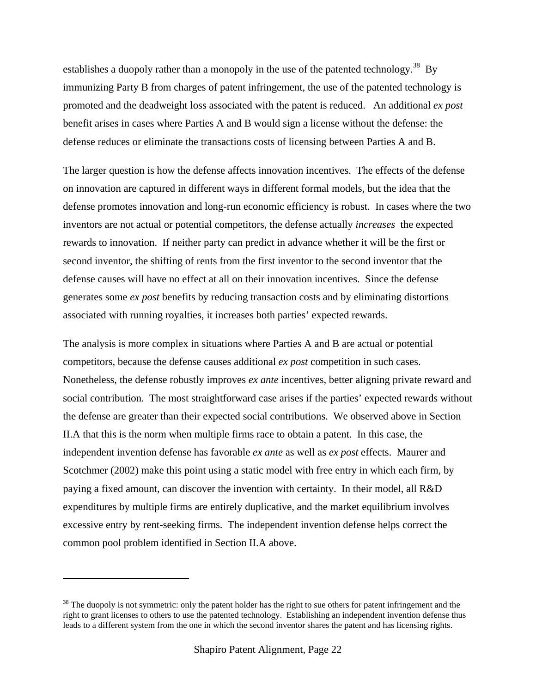establishes a duopoly rather than a monopoly in the use of the patented technology.<sup>38</sup> By immunizing Party B from charges of patent infringement, the use of the patented technology is promoted and the deadweight loss associated with the patent is reduced. An additional *ex post*  benefit arises in cases where Parties A and B would sign a license without the defense: the defense reduces or eliminate the transactions costs of licensing between Parties A and B.

The larger question is how the defense affects innovation incentives. The effects of the defense on innovation are captured in different ways in different formal models, but the idea that the defense promotes innovation and long-run economic efficiency is robust. In cases where the two inventors are not actual or potential competitors, the defense actually *increases* the expected rewards to innovation. If neither party can predict in advance whether it will be the first or second inventor, the shifting of rents from the first inventor to the second inventor that the defense causes will have no effect at all on their innovation incentives. Since the defense generates some *ex post* benefits by reducing transaction costs and by eliminating distortions associated with running royalties, it increases both parties' expected rewards.

The analysis is more complex in situations where Parties A and B are actual or potential competitors, because the defense causes additional *ex post* competition in such cases. Nonetheless, the defense robustly improves *ex ante* incentives, better aligning private reward and social contribution. The most straightforward case arises if the parties' expected rewards without the defense are greater than their expected social contributions. We observed above in Section II.A that this is the norm when multiple firms race to obtain a patent. In this case, the independent invention defense has favorable *ex ante* as well as *ex post* effects. Maurer and Scotchmer (2002) make this point using a static model with free entry in which each firm, by paying a fixed amount, can discover the invention with certainty. In their model, all R&D expenditures by multiple firms are entirely duplicative, and the market equilibrium involves excessive entry by rent-seeking firms. The independent invention defense helps correct the common pool problem identified in Section II.A above.

 $38$  The duopoly is not symmetric: only the patent holder has the right to sue others for patent infringement and the right to grant licenses to others to use the patented technology. Establishing an independent invention defense thus leads to a different system from the one in which the second inventor shares the patent and has licensing rights.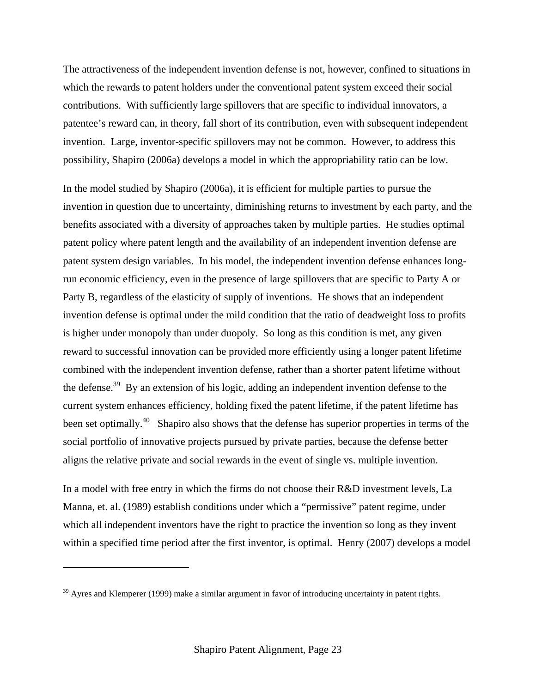The attractiveness of the independent invention defense is not, however, confined to situations in which the rewards to patent holders under the conventional patent system exceed their social contributions. With sufficiently large spillovers that are specific to individual innovators, a patentee's reward can, in theory, fall short of its contribution, even with subsequent independent invention. Large, inventor-specific spillovers may not be common. However, to address this possibility, Shapiro (2006a) develops a model in which the appropriability ratio can be low.

In the model studied by Shapiro (2006a), it is efficient for multiple parties to pursue the invention in question due to uncertainty, diminishing returns to investment by each party, and the benefits associated with a diversity of approaches taken by multiple parties. He studies optimal patent policy where patent length and the availability of an independent invention defense are patent system design variables. In his model, the independent invention defense enhances longrun economic efficiency, even in the presence of large spillovers that are specific to Party A or Party B, regardless of the elasticity of supply of inventions. He shows that an independent invention defense is optimal under the mild condition that the ratio of deadweight loss to profits is higher under monopoly than under duopoly. So long as this condition is met, any given reward to successful innovation can be provided more efficiently using a longer patent lifetime combined with the independent invention defense, rather than a shorter patent lifetime without the defense.<sup>39</sup> By an extension of his logic, adding an independent invention defense to the current system enhances efficiency, holding fixed the patent lifetime, if the patent lifetime has been set optimally.<sup>40</sup> Shapiro also shows that the defense has superior properties in terms of the social portfolio of innovative projects pursued by private parties, because the defense better aligns the relative private and social rewards in the event of single vs. multiple invention.

In a model with free entry in which the firms do not choose their R&D investment levels, La Manna, et. al. (1989) establish conditions under which a "permissive" patent regime, under which all independent inventors have the right to practice the invention so long as they invent within a specified time period after the first inventor, is optimal. Henry (2007) develops a model

 $39$  Ayres and Klemperer (1999) make a similar argument in favor of introducing uncertainty in patent rights.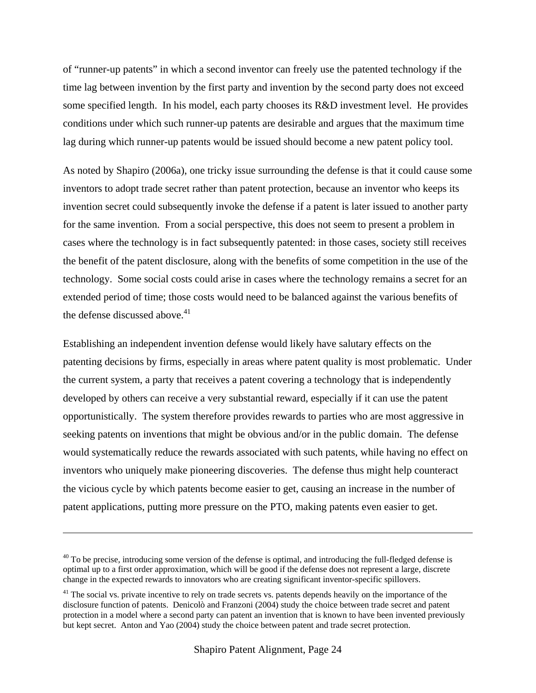of "runner-up patents" in which a second inventor can freely use the patented technology if the time lag between invention by the first party and invention by the second party does not exceed some specified length. In his model, each party chooses its R&D investment level. He provides conditions under which such runner-up patents are desirable and argues that the maximum time lag during which runner-up patents would be issued should become a new patent policy tool.

As noted by Shapiro (2006a), one tricky issue surrounding the defense is that it could cause some inventors to adopt trade secret rather than patent protection, because an inventor who keeps its invention secret could subsequently invoke the defense if a patent is later issued to another party for the same invention. From a social perspective, this does not seem to present a problem in cases where the technology is in fact subsequently patented: in those cases, society still receives the benefit of the patent disclosure, along with the benefits of some competition in the use of the technology. Some social costs could arise in cases where the technology remains a secret for an extended period of time; those costs would need to be balanced against the various benefits of the defense discussed above.<sup>41</sup>

Establishing an independent invention defense would likely have salutary effects on the patenting decisions by firms, especially in areas where patent quality is most problematic. Under the current system, a party that receives a patent covering a technology that is independently developed by others can receive a very substantial reward, especially if it can use the patent opportunistically. The system therefore provides rewards to parties who are most aggressive in seeking patents on inventions that might be obvious and/or in the public domain. The defense would systematically reduce the rewards associated with such patents, while having no effect on inventors who uniquely make pioneering discoveries. The defense thus might help counteract the vicious cycle by which patents become easier to get, causing an increase in the number of patent applications, putting more pressure on the PTO, making patents even easier to get.

 $40$  To be precise, introducing some version of the defense is optimal, and introducing the full-fledged defense is optimal up to a first order approximation, which will be good if the defense does not represent a large, discrete change in the expected rewards to innovators who are creating significant inventor-specific spillovers.

<sup>&</sup>lt;sup>41</sup> The social vs. private incentive to rely on trade secrets vs. patents depends heavily on the importance of the disclosure function of patents. Denicolò and Franzoni (2004) study the choice between trade secret and patent protection in a model where a second party can patent an invention that is known to have been invented previously but kept secret. Anton and Yao (2004) study the choice between patent and trade secret protection.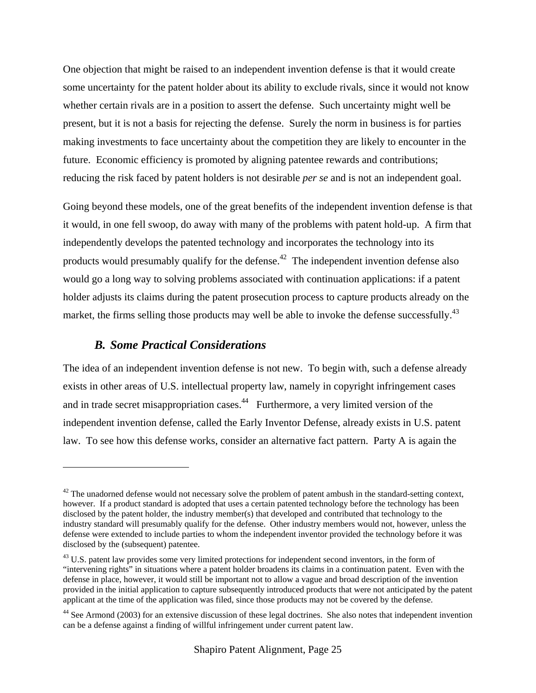One objection that might be raised to an independent invention defense is that it would create some uncertainty for the patent holder about its ability to exclude rivals, since it would not know whether certain rivals are in a position to assert the defense. Such uncertainty might well be present, but it is not a basis for rejecting the defense. Surely the norm in business is for parties making investments to face uncertainty about the competition they are likely to encounter in the future. Economic efficiency is promoted by aligning patentee rewards and contributions; reducing the risk faced by patent holders is not desirable *per se* and is not an independent goal.

Going beyond these models, one of the great benefits of the independent invention defense is that it would, in one fell swoop, do away with many of the problems with patent hold-up. A firm that independently develops the patented technology and incorporates the technology into its products would presumably qualify for the defense.<sup>42</sup> The independent invention defense also would go a long way to solving problems associated with continuation applications: if a patent holder adjusts its claims during the patent prosecution process to capture products already on the market, the firms selling those products may well be able to invoke the defense successfully.<sup>43</sup>

### *B. Some Practical Considerations*

 $\overline{a}$ 

The idea of an independent invention defense is not new. To begin with, such a defense already exists in other areas of U.S. intellectual property law, namely in copyright infringement cases and in trade secret misappropriation cases.<sup>44</sup> Furthermore, a very limited version of the independent invention defense, called the Early Inventor Defense, already exists in U.S. patent law. To see how this defense works, consider an alternative fact pattern. Party A is again the

 $42$  The unadorned defense would not necessary solve the problem of patent ambush in the standard-setting context, however. If a product standard is adopted that uses a certain patented technology before the technology has been disclosed by the patent holder, the industry member(s) that developed and contributed that technology to the industry standard will presumably qualify for the defense. Other industry members would not, however, unless the defense were extended to include parties to whom the independent inventor provided the technology before it was disclosed by the (subsequent) patentee.

<sup>&</sup>lt;sup>43</sup> U.S. patent law provides some very limited protections for independent second inventors, in the form of "intervening rights" in situations where a patent holder broadens its claims in a continuation patent. Even with the defense in place, however, it would still be important not to allow a vague and broad description of the invention provided in the initial application to capture subsequently introduced products that were not anticipated by the patent applicant at the time of the application was filed, since those products may not be covered by the defense.

<sup>&</sup>lt;sup>44</sup> See Armond (2003) for an extensive discussion of these legal doctrines. She also notes that independent invention can be a defense against a finding of willful infringement under current patent law.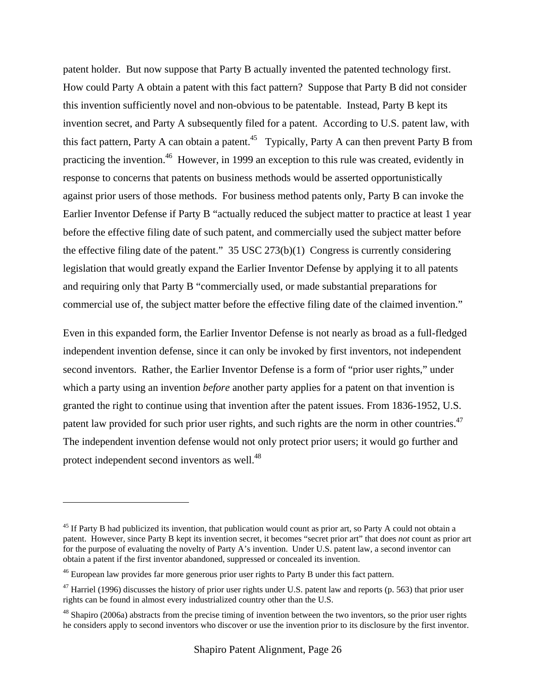patent holder. But now suppose that Party B actually invented the patented technology first. How could Party A obtain a patent with this fact pattern? Suppose that Party B did not consider this invention sufficiently novel and non-obvious to be patentable. Instead, Party B kept its invention secret, and Party A subsequently filed for a patent. According to U.S. patent law, with this fact pattern, Party A can obtain a patent.<sup>45</sup> Typically, Party A can then prevent Party B from practicing the invention.46 However, in 1999 an exception to this rule was created, evidently in response to concerns that patents on business methods would be asserted opportunistically against prior users of those methods. For business method patents only, Party B can invoke the Earlier Inventor Defense if Party B "actually reduced the subject matter to practice at least 1 year before the effective filing date of such patent, and commercially used the subject matter before the effective filing date of the patent." 35 USC 273(b)(1) Congress is currently considering legislation that would greatly expand the Earlier Inventor Defense by applying it to all patents and requiring only that Party B "commercially used, or made substantial preparations for commercial use of, the subject matter before the effective filing date of the claimed invention."

Even in this expanded form, the Earlier Inventor Defense is not nearly as broad as a full-fledged independent invention defense, since it can only be invoked by first inventors, not independent second inventors. Rather, the Earlier Inventor Defense is a form of "prior user rights," under which a party using an invention *before* another party applies for a patent on that invention is granted the right to continue using that invention after the patent issues. From 1836-1952, U.S. patent law provided for such prior user rights, and such rights are the norm in other countries.<sup>47</sup> The independent invention defense would not only protect prior users; it would go further and protect independent second inventors as well.<sup>48</sup>

<sup>&</sup>lt;sup>45</sup> If Party B had publicized its invention, that publication would count as prior art, so Party A could not obtain a patent. However, since Party B kept its invention secret, it becomes "secret prior art" that does *not* count as prior art for the purpose of evaluating the novelty of Party A's invention. Under U.S. patent law, a second inventor can obtain a patent if the first inventor abandoned, suppressed or concealed its invention.

<sup>&</sup>lt;sup>46</sup> European law provides far more generous prior user rights to Party B under this fact pattern.

<sup>&</sup>lt;sup>47</sup> Harriel (1996) discusses the history of prior user rights under U.S. patent law and reports (p. 563) that prior user rights can be found in almost every industrialized country other than the U.S.

<sup>&</sup>lt;sup>48</sup> Shapiro (2006a) abstracts from the precise timing of invention between the two inventors, so the prior user rights he considers apply to second inventors who discover or use the invention prior to its disclosure by the first inventor.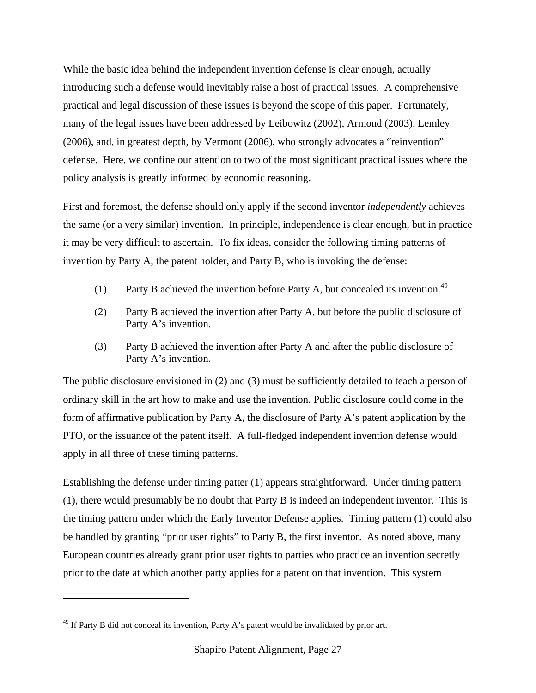While the basic idea behind the independent invention defense is clear enough, actually introducing such a defense would inevitably raise a host of practical issues. A comprehensive practical and legal discussion of these issues is beyond the scope of this paper. Fortunately, many of the legal issues have been addressed by Leibowitz (2002), Armond (2003), Lemley (2006), and, in greatest depth, by Vermont (2006), who strongly advocates a "reinvention" defense. Here, we confine our attention to two of the most significant practical issues where the policy analysis is greatly informed by economic reasoning.

First and foremost, the defense should only apply if the second inventor *independently* achieves the same (or a very similar) invention. In principle, independence is clear enough, but in practice it may be very difficult to ascertain. To fix ideas, consider the following timing patterns of invention by Party A, the patent holder, and Party B, who is invoking the defense:

- (1) Party B achieved the invention before Party A, but concealed its invention.<sup>49</sup>
- (2) Party B achieved the invention after Party A, but before the public disclosure of Party A's invention.
- (3) Party B achieved the invention after Party A and after the public disclosure of Party A's invention.

The public disclosure envisioned in (2) and (3) must be sufficiently detailed to teach a person of ordinary skill in the art how to make and use the invention. Public disclosure could come in the form of affirmative publication by Party A, the disclosure of Party A's patent application by the PTO, or the issuance of the patent itself. A full-fledged independent invention defense would apply in all three of these timing patterns.

Establishing the defense under timing patter (1) appears straightforward. Under timing pattern (1), there would presumably be no doubt that Party B is indeed an independent inventor. This is the timing pattern under which the Early Inventor Defense applies. Timing pattern (1) could also be handled by granting "prior user rights" to Party B, the first inventor. As noted above, many European countries already grant prior user rights to parties who practice an invention secretly prior to the date at which another party applies for a patent on that invention. This system

 $49$  If Party B did not conceal its invention, Party A's patent would be invalidated by prior art.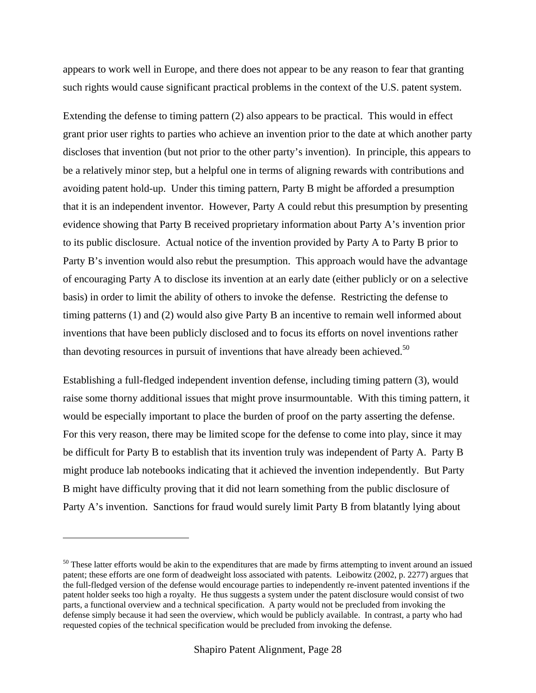appears to work well in Europe, and there does not appear to be any reason to fear that granting such rights would cause significant practical problems in the context of the U.S. patent system.

Extending the defense to timing pattern (2) also appears to be practical. This would in effect grant prior user rights to parties who achieve an invention prior to the date at which another party discloses that invention (but not prior to the other party's invention). In principle, this appears to be a relatively minor step, but a helpful one in terms of aligning rewards with contributions and avoiding patent hold-up. Under this timing pattern, Party B might be afforded a presumption that it is an independent inventor. However, Party A could rebut this presumption by presenting evidence showing that Party B received proprietary information about Party A's invention prior to its public disclosure. Actual notice of the invention provided by Party A to Party B prior to Party B's invention would also rebut the presumption. This approach would have the advantage of encouraging Party A to disclose its invention at an early date (either publicly or on a selective basis) in order to limit the ability of others to invoke the defense. Restricting the defense to timing patterns (1) and (2) would also give Party B an incentive to remain well informed about inventions that have been publicly disclosed and to focus its efforts on novel inventions rather than devoting resources in pursuit of inventions that have already been achieved.<sup>50</sup>

Establishing a full-fledged independent invention defense, including timing pattern (3), would raise some thorny additional issues that might prove insurmountable. With this timing pattern, it would be especially important to place the burden of proof on the party asserting the defense. For this very reason, there may be limited scope for the defense to come into play, since it may be difficult for Party B to establish that its invention truly was independent of Party A. Party B might produce lab notebooks indicating that it achieved the invention independently. But Party B might have difficulty proving that it did not learn something from the public disclosure of Party A's invention. Sanctions for fraud would surely limit Party B from blatantly lying about

 $50$  These latter efforts would be akin to the expenditures that are made by firms attempting to invent around an issued patent; these efforts are one form of deadweight loss associated with patents. Leibowitz (2002, p. 2277) argues that the full-fledged version of the defense would encourage parties to independently re-invent patented inventions if the patent holder seeks too high a royalty. He thus suggests a system under the patent disclosure would consist of two parts, a functional overview and a technical specification. A party would not be precluded from invoking the defense simply because it had seen the overview, which would be publicly available. In contrast, a party who had requested copies of the technical specification would be precluded from invoking the defense.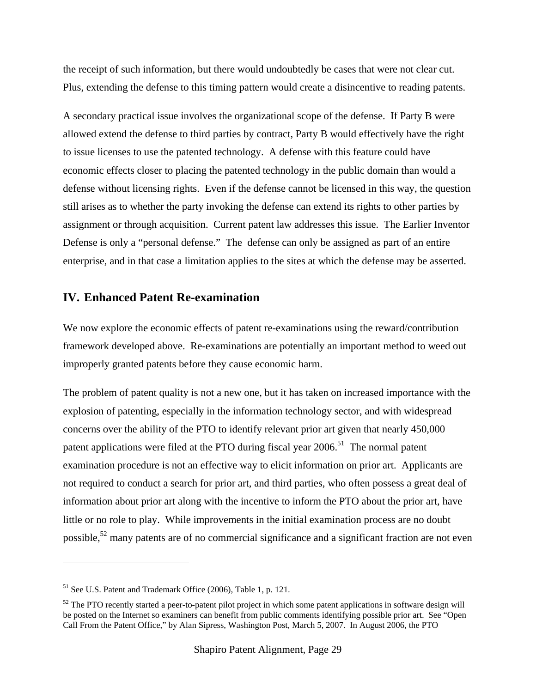the receipt of such information, but there would undoubtedly be cases that were not clear cut. Plus, extending the defense to this timing pattern would create a disincentive to reading patents.

A secondary practical issue involves the organizational scope of the defense. If Party B were allowed extend the defense to third parties by contract, Party B would effectively have the right to issue licenses to use the patented technology. A defense with this feature could have economic effects closer to placing the patented technology in the public domain than would a defense without licensing rights. Even if the defense cannot be licensed in this way, the question still arises as to whether the party invoking the defense can extend its rights to other parties by assignment or through acquisition. Current patent law addresses this issue. The Earlier Inventor Defense is only a "personal defense." The defense can only be assigned as part of an entire enterprise, and in that case a limitation applies to the sites at which the defense may be asserted.

#### **IV. Enhanced Patent Re-examination**

We now explore the economic effects of patent re-examinations using the reward/contribution framework developed above. Re-examinations are potentially an important method to weed out improperly granted patents before they cause economic harm.

The problem of patent quality is not a new one, but it has taken on increased importance with the explosion of patenting, especially in the information technology sector, and with widespread concerns over the ability of the PTO to identify relevant prior art given that nearly 450,000 patent applications were filed at the PTO during fiscal year  $2006$ .<sup>51</sup> The normal patent examination procedure is not an effective way to elicit information on prior art. Applicants are not required to conduct a search for prior art, and third parties, who often possess a great deal of information about prior art along with the incentive to inform the PTO about the prior art, have little or no role to play. While improvements in the initial examination process are no doubt possible,52 many patents are of no commercial significance and a significant fraction are not even

<sup>51</sup> See U.S. Patent and Trademark Office (2006), Table 1, p. 121.

 $52$  The PTO recently started a peer-to-patent pilot project in which some patent applications in software design will be posted on the Internet so examiners can benefit from public comments identifying possible prior art. See "Open Call From the Patent Office," by Alan Sipress, Washington Post, March 5, 2007. In August 2006, the PTO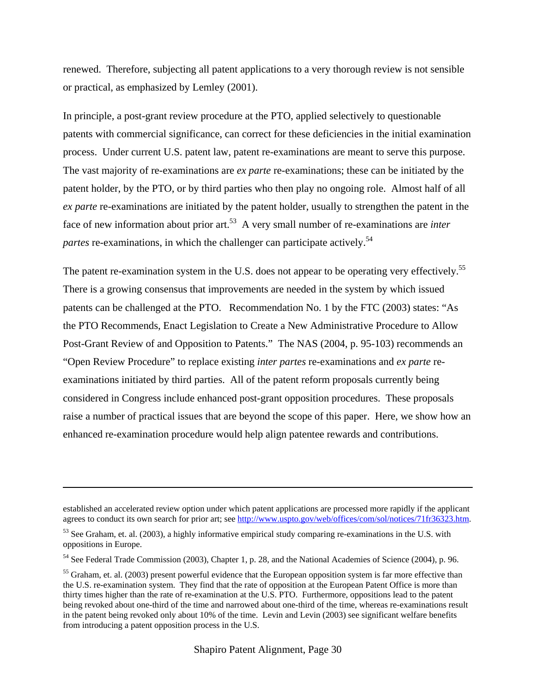renewed. Therefore, subjecting all patent applications to a very thorough review is not sensible or practical, as emphasized by Lemley (2001).

In principle, a post-grant review procedure at the PTO, applied selectively to questionable patents with commercial significance, can correct for these deficiencies in the initial examination process. Under current U.S. patent law, patent re-examinations are meant to serve this purpose. The vast majority of re-examinations are *ex parte* re-examinations; these can be initiated by the patent holder, by the PTO, or by third parties who then play no ongoing role. Almost half of all *ex parte* re-examinations are initiated by the patent holder, usually to strengthen the patent in the face of new information about prior art.53 A very small number of re-examinations are *inter partes* re-examinations, in which the challenger can participate actively.<sup>54</sup>

The patent re-examination system in the U.S. does not appear to be operating very effectively.<sup>55</sup> There is a growing consensus that improvements are needed in the system by which issued patents can be challenged at the PTO. Recommendation No. 1 by the FTC (2003) states: "As the PTO Recommends, Enact Legislation to Create a New Administrative Procedure to Allow Post-Grant Review of and Opposition to Patents." The NAS (2004, p. 95-103) recommends an "Open Review Procedure" to replace existing *inter partes* re-examinations and *ex parte* reexaminations initiated by third parties. All of the patent reform proposals currently being considered in Congress include enhanced post-grant opposition procedures. These proposals raise a number of practical issues that are beyond the scope of this paper. Here, we show how an enhanced re-examination procedure would help align patentee rewards and contributions.

<u>.</u>

established an accelerated review option under which patent applications are processed more rapidly if the applicant agrees to conduct its own search for prior art; see http://www.uspto.gov/web/offices/com/sol/notices/71fr36323.htm.

<sup>&</sup>lt;sup>53</sup> See Graham, et. al. (2003), a highly informative empirical study comparing re-examinations in the U.S. with oppositions in Europe.

<sup>54</sup> See Federal Trade Commission (2003), Chapter 1, p. 28, and the National Academies of Science (2004), p. 96.

 $55$  Graham, et. al. (2003) present powerful evidence that the European opposition system is far more effective than the U.S. re-examination system. They find that the rate of opposition at the European Patent Office is more than thirty times higher than the rate of re-examination at the U.S. PTO. Furthermore, oppositions lead to the patent being revoked about one-third of the time and narrowed about one-third of the time, whereas re-examinations result in the patent being revoked only about 10% of the time. Levin and Levin (2003) see significant welfare benefits from introducing a patent opposition process in the U.S.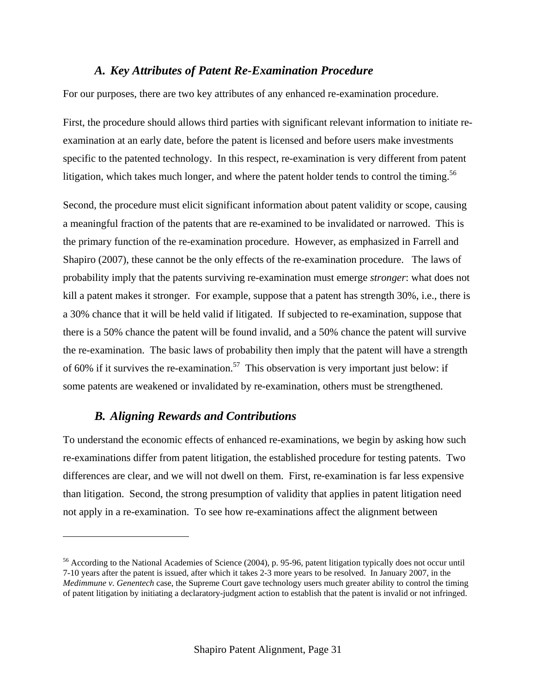### *A. Key Attributes of Patent Re-Examination Procedure*

For our purposes, there are two key attributes of any enhanced re-examination procedure.

First, the procedure should allows third parties with significant relevant information to initiate reexamination at an early date, before the patent is licensed and before users make investments specific to the patented technology. In this respect, re-examination is very different from patent litigation, which takes much longer, and where the patent holder tends to control the timing.<sup>56</sup>

Second, the procedure must elicit significant information about patent validity or scope, causing a meaningful fraction of the patents that are re-examined to be invalidated or narrowed. This is the primary function of the re-examination procedure. However, as emphasized in Farrell and Shapiro (2007), these cannot be the only effects of the re-examination procedure. The laws of probability imply that the patents surviving re-examination must emerge *stronger*: what does not kill a patent makes it stronger. For example, suppose that a patent has strength 30%, i.e., there is a 30% chance that it will be held valid if litigated. If subjected to re-examination, suppose that there is a 50% chance the patent will be found invalid, and a 50% chance the patent will survive the re-examination. The basic laws of probability then imply that the patent will have a strength of 60% if it survives the re-examination.<sup>57</sup> This observation is very important just below: if some patents are weakened or invalidated by re-examination, others must be strengthened.

### *B. Aligning Rewards and Contributions*

1

To understand the economic effects of enhanced re-examinations, we begin by asking how such re-examinations differ from patent litigation, the established procedure for testing patents. Two differences are clear, and we will not dwell on them. First, re-examination is far less expensive than litigation. Second, the strong presumption of validity that applies in patent litigation need not apply in a re-examination. To see how re-examinations affect the alignment between

<sup>56</sup> According to the National Academies of Science (2004), p. 95-96, patent litigation typically does not occur until 7-10 years after the patent is issued, after which it takes 2-3 more years to be resolved. In January 2007, in the *Medimmune v. Genentech* case, the Supreme Court gave technology users much greater ability to control the timing of patent litigation by initiating a declaratory-judgment action to establish that the patent is invalid or not infringed.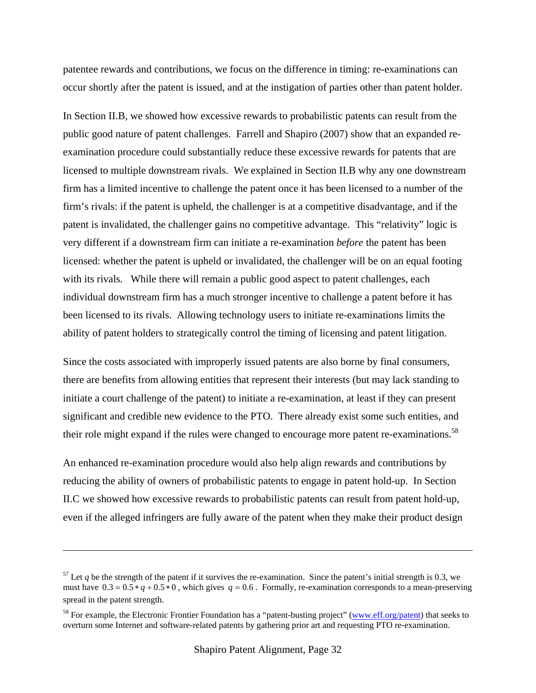patentee rewards and contributions, we focus on the difference in timing: re-examinations can occur shortly after the patent is issued, and at the instigation of parties other than patent holder.

In Section II.B, we showed how excessive rewards to probabilistic patents can result from the public good nature of patent challenges. Farrell and Shapiro (2007) show that an expanded reexamination procedure could substantially reduce these excessive rewards for patents that are licensed to multiple downstream rivals. We explained in Section II.B why any one downstream firm has a limited incentive to challenge the patent once it has been licensed to a number of the firm's rivals: if the patent is upheld, the challenger is at a competitive disadvantage, and if the patent is invalidated, the challenger gains no competitive advantage. This "relativity" logic is very different if a downstream firm can initiate a re-examination *before* the patent has been licensed: whether the patent is upheld or invalidated, the challenger will be on an equal footing with its rivals. While there will remain a public good aspect to patent challenges, each individual downstream firm has a much stronger incentive to challenge a patent before it has been licensed to its rivals. Allowing technology users to initiate re-examinations limits the ability of patent holders to strategically control the timing of licensing and patent litigation.

Since the costs associated with improperly issued patents are also borne by final consumers, there are benefits from allowing entities that represent their interests (but may lack standing to initiate a court challenge of the patent) to initiate a re-examination, at least if they can present significant and credible new evidence to the PTO. There already exist some such entities, and their role might expand if the rules were changed to encourage more patent re-examinations.<sup>58</sup>

An enhanced re-examination procedure would also help align rewards and contributions by reducing the ability of owners of probabilistic patents to engage in patent hold-up. In Section II.C we showed how excessive rewards to probabilistic patents can result from patent hold-up, even if the alleged infringers are fully aware of the patent when they make their product design

 $57$  Let q be the strength of the patent if it survives the re-examination. Since the patent's initial strength is 0.3, we must have  $0.3 = 0.5 * q + 0.5 * 0$ , which gives  $q = 0.6$ . Formally, re-examination corresponds to a mean-preserving spread in the patent strength.

<sup>&</sup>lt;sup>58</sup> For example, the Electronic Frontier Foundation has a "patent-busting project" (www.eff.org/patent) that seeks to overturn some Internet and software-related patents by gathering prior art and requesting PTO re-examination.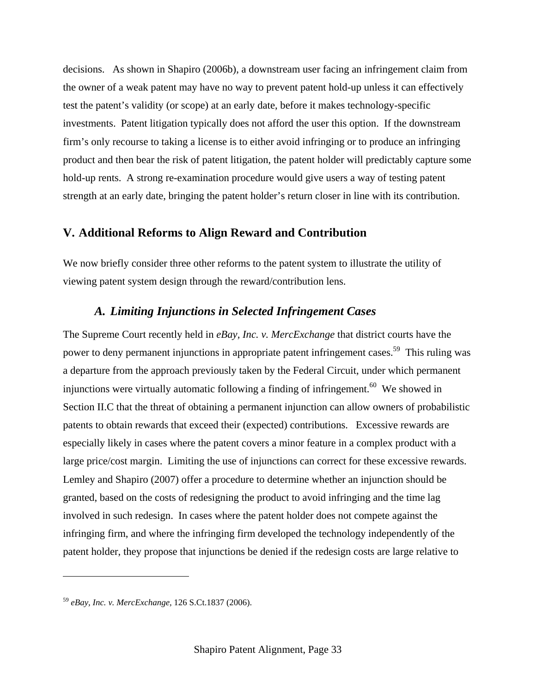decisions. As shown in Shapiro (2006b), a downstream user facing an infringement claim from the owner of a weak patent may have no way to prevent patent hold-up unless it can effectively test the patent's validity (or scope) at an early date, before it makes technology-specific investments. Patent litigation typically does not afford the user this option. If the downstream firm's only recourse to taking a license is to either avoid infringing or to produce an infringing product and then bear the risk of patent litigation, the patent holder will predictably capture some hold-up rents. A strong re-examination procedure would give users a way of testing patent strength at an early date, bringing the patent holder's return closer in line with its contribution.

### **V. Additional Reforms to Align Reward and Contribution**

We now briefly consider three other reforms to the patent system to illustrate the utility of viewing patent system design through the reward/contribution lens.

### *A. Limiting Injunctions in Selected Infringement Cases*

The Supreme Court recently held in *eBay, Inc. v. MercExchange* that district courts have the power to deny permanent injunctions in appropriate patent infringement cases.<sup>59</sup> This ruling was a departure from the approach previously taken by the Federal Circuit, under which permanent injunctions were virtually automatic following a finding of infringement.<sup>60</sup> We showed in Section II.C that the threat of obtaining a permanent injunction can allow owners of probabilistic patents to obtain rewards that exceed their (expected) contributions. Excessive rewards are especially likely in cases where the patent covers a minor feature in a complex product with a large price/cost margin. Limiting the use of injunctions can correct for these excessive rewards. Lemley and Shapiro (2007) offer a procedure to determine whether an injunction should be granted, based on the costs of redesigning the product to avoid infringing and the time lag involved in such redesign. In cases where the patent holder does not compete against the infringing firm, and where the infringing firm developed the technology independently of the patent holder, they propose that injunctions be denied if the redesign costs are large relative to

<sup>59</sup> *eBay, Inc. v. MercExchange,* 126 S.Ct.1837 (2006).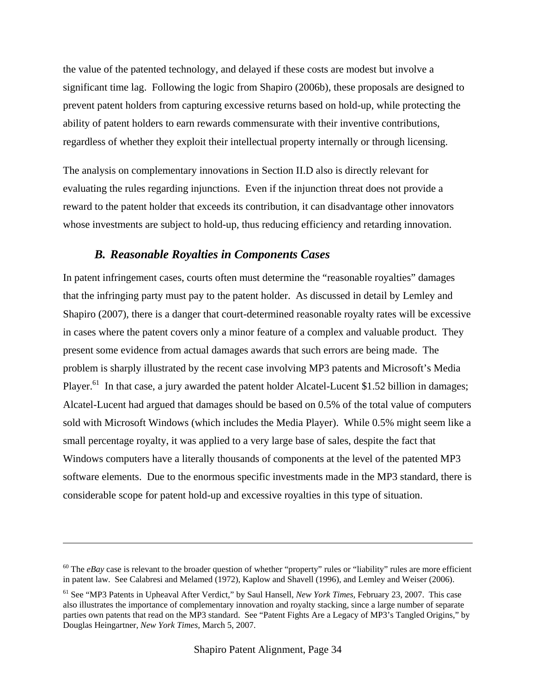the value of the patented technology, and delayed if these costs are modest but involve a significant time lag. Following the logic from Shapiro (2006b), these proposals are designed to prevent patent holders from capturing excessive returns based on hold-up, while protecting the ability of patent holders to earn rewards commensurate with their inventive contributions, regardless of whether they exploit their intellectual property internally or through licensing.

The analysis on complementary innovations in Section II.D also is directly relevant for evaluating the rules regarding injunctions. Even if the injunction threat does not provide a reward to the patent holder that exceeds its contribution, it can disadvantage other innovators whose investments are subject to hold-up, thus reducing efficiency and retarding innovation.

## *B. Reasonable Royalties in Components Cases*

1

In patent infringement cases, courts often must determine the "reasonable royalties" damages that the infringing party must pay to the patent holder. As discussed in detail by Lemley and Shapiro (2007), there is a danger that court-determined reasonable royalty rates will be excessive in cases where the patent covers only a minor feature of a complex and valuable product. They present some evidence from actual damages awards that such errors are being made. The problem is sharply illustrated by the recent case involving MP3 patents and Microsoft's Media Player.<sup>61</sup> In that case, a jury awarded the patent holder Alcatel-Lucent \$1.52 billion in damages; Alcatel-Lucent had argued that damages should be based on 0.5% of the total value of computers sold with Microsoft Windows (which includes the Media Player). While 0.5% might seem like a small percentage royalty, it was applied to a very large base of sales, despite the fact that Windows computers have a literally thousands of components at the level of the patented MP3 software elements. Due to the enormous specific investments made in the MP3 standard, there is considerable scope for patent hold-up and excessive royalties in this type of situation.

<sup>&</sup>lt;sup>60</sup> The *eBay* case is relevant to the broader question of whether "property" rules or "liability" rules are more efficient in patent law. See Calabresi and Melamed (1972), Kaplow and Shavell (1996), and Lemley and Weiser (2006).

<sup>61</sup> See "MP3 Patents in Upheaval After Verdict," by Saul Hansell, *New York Times,* February 23, 2007. This case also illustrates the importance of complementary innovation and royalty stacking, since a large number of separate parties own patents that read on the MP3 standard. See "Patent Fights Are a Legacy of MP3's Tangled Origins," by Douglas Heingartner, *New York Times,* March 5, 2007.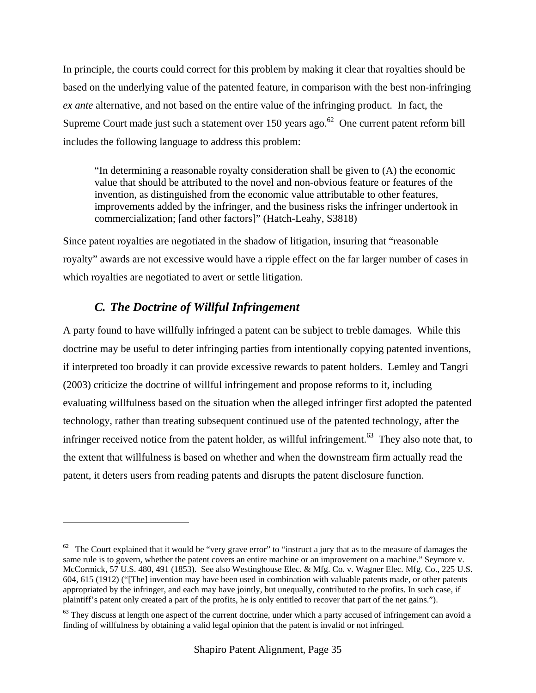In principle, the courts could correct for this problem by making it clear that royalties should be based on the underlying value of the patented feature, in comparison with the best non-infringing *ex ante* alternative, and not based on the entire value of the infringing product. In fact, the Supreme Court made just such a statement over  $150$  years ago.<sup>62</sup> One current patent reform bill includes the following language to address this problem:

"In determining a reasonable royalty consideration shall be given to (A) the economic value that should be attributed to the novel and non-obvious feature or features of the invention, as distinguished from the economic value attributable to other features, improvements added by the infringer, and the business risks the infringer undertook in commercialization; [and other factors]" (Hatch-Leahy, S3818)

Since patent royalties are negotiated in the shadow of litigation, insuring that "reasonable royalty" awards are not excessive would have a ripple effect on the far larger number of cases in which royalties are negotiated to avert or settle litigation.

## *C. The Doctrine of Willful Infringement*

<u>.</u>

A party found to have willfully infringed a patent can be subject to treble damages. While this doctrine may be useful to deter infringing parties from intentionally copying patented inventions, if interpreted too broadly it can provide excessive rewards to patent holders. Lemley and Tangri (2003) criticize the doctrine of willful infringement and propose reforms to it, including evaluating willfulness based on the situation when the alleged infringer first adopted the patented technology, rather than treating subsequent continued use of the patented technology, after the infringer received notice from the patent holder, as willful infringement.<sup>63</sup> They also note that, to the extent that willfulness is based on whether and when the downstream firm actually read the patent, it deters users from reading patents and disrupts the patent disclosure function.

 $62$  The Court explained that it would be "very grave error" to "instruct a jury that as to the measure of damages the same rule is to govern, whether the patent covers an entire machine or an improvement on a machine." Seymore v. McCormick, 57 U.S. 480, 491 (1853). See also Westinghouse Elec. & Mfg. Co. v. Wagner Elec. Mfg. Co., 225 U.S. 604, 615 (1912) ("[The] invention may have been used in combination with valuable patents made, or other patents appropriated by the infringer, and each may have jointly, but unequally, contributed to the profits. In such case, if plaintiff's patent only created a part of the profits, he is only entitled to recover that part of the net gains.").

 $63$  They discuss at length one aspect of the current doctrine, under which a party accused of infringement can avoid a finding of willfulness by obtaining a valid legal opinion that the patent is invalid or not infringed.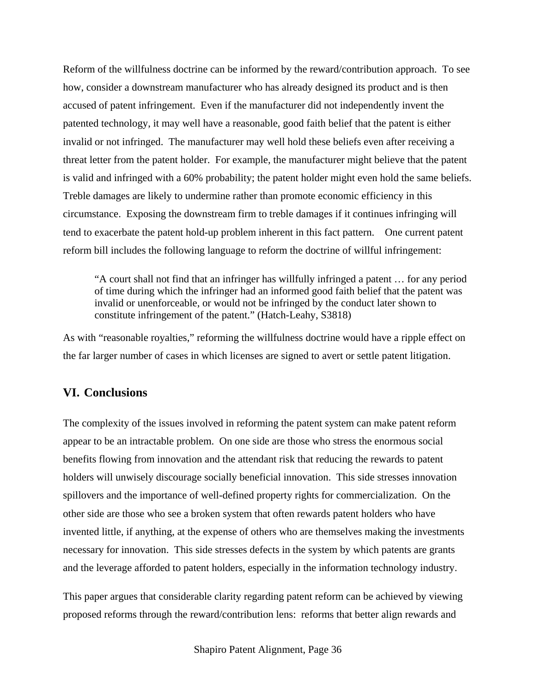Reform of the willfulness doctrine can be informed by the reward/contribution approach. To see how, consider a downstream manufacturer who has already designed its product and is then accused of patent infringement. Even if the manufacturer did not independently invent the patented technology, it may well have a reasonable, good faith belief that the patent is either invalid or not infringed. The manufacturer may well hold these beliefs even after receiving a threat letter from the patent holder. For example, the manufacturer might believe that the patent is valid and infringed with a 60% probability; the patent holder might even hold the same beliefs. Treble damages are likely to undermine rather than promote economic efficiency in this circumstance. Exposing the downstream firm to treble damages if it continues infringing will tend to exacerbate the patent hold-up problem inherent in this fact pattern. One current patent reform bill includes the following language to reform the doctrine of willful infringement:

"A court shall not find that an infringer has willfully infringed a patent … for any period of time during which the infringer had an informed good faith belief that the patent was invalid or unenforceable, or would not be infringed by the conduct later shown to constitute infringement of the patent." (Hatch-Leahy, S3818)

As with "reasonable royalties," reforming the willfulness doctrine would have a ripple effect on the far larger number of cases in which licenses are signed to avert or settle patent litigation.

#### **VI. Conclusions**

The complexity of the issues involved in reforming the patent system can make patent reform appear to be an intractable problem. On one side are those who stress the enormous social benefits flowing from innovation and the attendant risk that reducing the rewards to patent holders will unwisely discourage socially beneficial innovation. This side stresses innovation spillovers and the importance of well-defined property rights for commercialization. On the other side are those who see a broken system that often rewards patent holders who have invented little, if anything, at the expense of others who are themselves making the investments necessary for innovation. This side stresses defects in the system by which patents are grants and the leverage afforded to patent holders, especially in the information technology industry.

This paper argues that considerable clarity regarding patent reform can be achieved by viewing proposed reforms through the reward/contribution lens: reforms that better align rewards and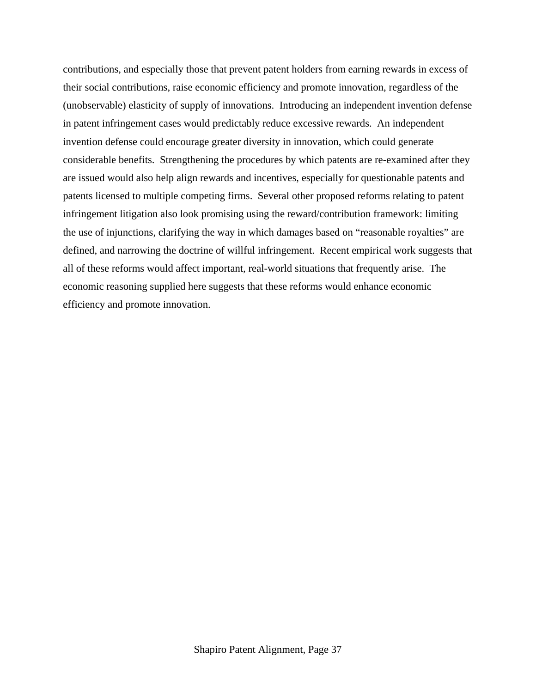contributions, and especially those that prevent patent holders from earning rewards in excess of their social contributions, raise economic efficiency and promote innovation, regardless of the (unobservable) elasticity of supply of innovations. Introducing an independent invention defense in patent infringement cases would predictably reduce excessive rewards. An independent invention defense could encourage greater diversity in innovation, which could generate considerable benefits. Strengthening the procedures by which patents are re-examined after they are issued would also help align rewards and incentives, especially for questionable patents and patents licensed to multiple competing firms. Several other proposed reforms relating to patent infringement litigation also look promising using the reward/contribution framework: limiting the use of injunctions, clarifying the way in which damages based on "reasonable royalties" are defined, and narrowing the doctrine of willful infringement. Recent empirical work suggests that all of these reforms would affect important, real-world situations that frequently arise. The economic reasoning supplied here suggests that these reforms would enhance economic efficiency and promote innovation.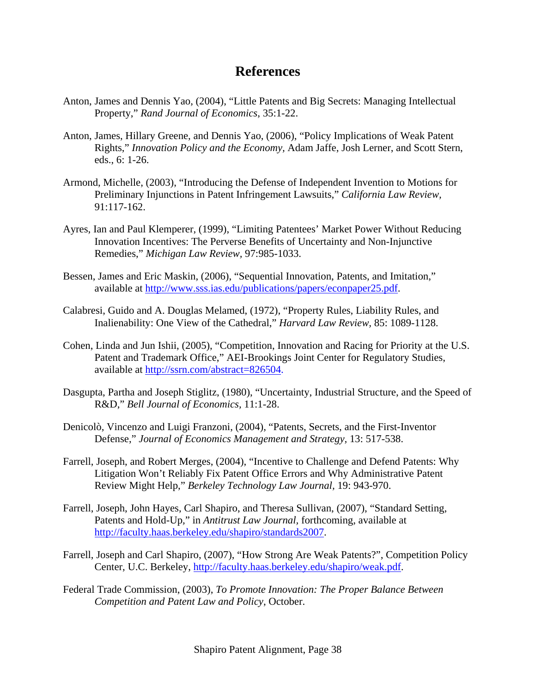## **References**

- Anton, James and Dennis Yao, (2004), "Little Patents and Big Secrets: Managing Intellectual Property," *Rand Journal of Economics*, 35:1-22.
- Anton, James, Hillary Greene, and Dennis Yao, (2006), "Policy Implications of Weak Patent Rights," *Innovation Policy and the Economy,* Adam Jaffe, Josh Lerner, and Scott Stern, eds., 6: 1-26.
- Armond, Michelle, (2003), "Introducing the Defense of Independent Invention to Motions for Preliminary Injunctions in Patent Infringement Lawsuits," *California Law Review,*  91:117-162.
- Ayres, Ian and Paul Klemperer, (1999), "Limiting Patentees' Market Power Without Reducing Innovation Incentives: The Perverse Benefits of Uncertainty and Non-Injunctive Remedies," *Michigan Law Review,* 97:985-1033.
- Bessen, James and Eric Maskin, (2006), "Sequential Innovation, Patents, and Imitation," available at http://www.sss.ias.edu/publications/papers/econpaper25.pdf.
- Calabresi, Guido and A. Douglas Melamed, (1972), "Property Rules, Liability Rules, and Inalienability: One View of the Cathedral," *Harvard Law Review,* 85: 1089-1128.
- Cohen, Linda and Jun Ishii, (2005), "Competition, Innovation and Racing for Priority at the U.S. Patent and Trademark Office," AEI-Brookings Joint Center for Regulatory Studies, available at http://ssrn.com/abstract=826504.
- Dasgupta, Partha and Joseph Stiglitz, (1980), "Uncertainty, Industrial Structure, and the Speed of R&D," *Bell Journal of Economics,* 11:1-28.
- Denicolò, Vincenzo and Luigi Franzoni, (2004), "Patents, Secrets, and the First-Inventor Defense," *Journal of Economics Management and Strategy,* 13: 517-538.
- Farrell, Joseph, and Robert Merges, (2004), "Incentive to Challenge and Defend Patents: Why Litigation Won't Reliably Fix Patent Office Errors and Why Administrative Patent Review Might Help," *Berkeley Technology Law Journal,* 19: 943-970.
- Farrell, Joseph, John Hayes, Carl Shapiro, and Theresa Sullivan, (2007), "Standard Setting, Patents and Hold-Up*,*" in *Antitrust Law Journal,* forthcoming, available at http://faculty.haas.berkeley.edu/shapiro/standards2007.
- Farrell, Joseph and Carl Shapiro, (2007), "How Strong Are Weak Patents?", Competition Policy Center, U.C. Berkeley, http://faculty.haas.berkeley.edu/shapiro/weak.pdf.
- Federal Trade Commission, (2003), *To Promote Innovation: The Proper Balance Between Competition and Patent Law and Policy*, October.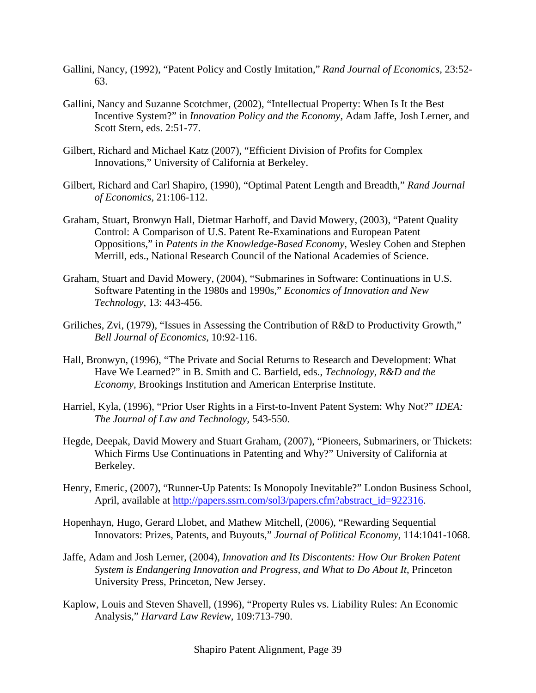- Gallini, Nancy, (1992), "Patent Policy and Costly Imitation," *Rand Journal of Economics,* 23:52- 63.
- Gallini, Nancy and Suzanne Scotchmer, (2002), "Intellectual Property: When Is It the Best Incentive System?" in *Innovation Policy and the Economy,* Adam Jaffe, Josh Lerner, and Scott Stern, eds. 2:51-77.
- Gilbert, Richard and Michael Katz (2007), "Efficient Division of Profits for Complex Innovations," University of California at Berkeley.
- Gilbert, Richard and Carl Shapiro, (1990), "Optimal Patent Length and Breadth," *Rand Journal of Economics,* 21:106-112.
- Graham, Stuart, Bronwyn Hall, Dietmar Harhoff, and David Mowery, (2003), "Patent Quality Control: A Comparison of U.S. Patent Re-Examinations and European Patent Oppositions," in *Patents in the Knowledge-Based Economy,* Wesley Cohen and Stephen Merrill, eds., National Research Council of the National Academies of Science.
- Graham, Stuart and David Mowery, (2004), "Submarines in Software: Continuations in U.S. Software Patenting in the 1980s and 1990s," *Economics of Innovation and New Technology*, 13: 443-456.
- Griliches, Zvi, (1979), "Issues in Assessing the Contribution of R&D to Productivity Growth," *Bell Journal of Economics,* 10:92-116.
- Hall, Bronwyn, (1996), "The Private and Social Returns to Research and Development: What Have We Learned?" in B. Smith and C. Barfield, eds., *Technology, R&D and the Economy,* Brookings Institution and American Enterprise Institute.
- Harriel, Kyla, (1996), "Prior User Rights in a First-to-Invent Patent System: Why Not?" *IDEA: The Journal of Law and Technology,* 543-550.
- Hegde, Deepak, David Mowery and Stuart Graham, (2007), "Pioneers, Submariners, or Thickets: Which Firms Use Continuations in Patenting and Why?" University of California at Berkeley.
- Henry, Emeric, (2007), "Runner-Up Patents: Is Monopoly Inevitable?" London Business School, April, available at http://papers.ssrn.com/sol3/papers.cfm?abstract\_id=922316.
- Hopenhayn, Hugo, Gerard Llobet, and Mathew Mitchell, (2006), "Rewarding Sequential Innovators: Prizes, Patents, and Buyouts," *Journal of Political Economy,* 114:1041-1068.
- Jaffe, Adam and Josh Lerner, (2004), *Innovation and Its Discontents: How Our Broken Patent System is Endangering Innovation and Progress, and What to Do About It*, Princeton University Press, Princeton, New Jersey.
- Kaplow, Louis and Steven Shavell, (1996), "Property Rules vs. Liability Rules: An Economic Analysis," *Harvard Law Review,* 109:713-790.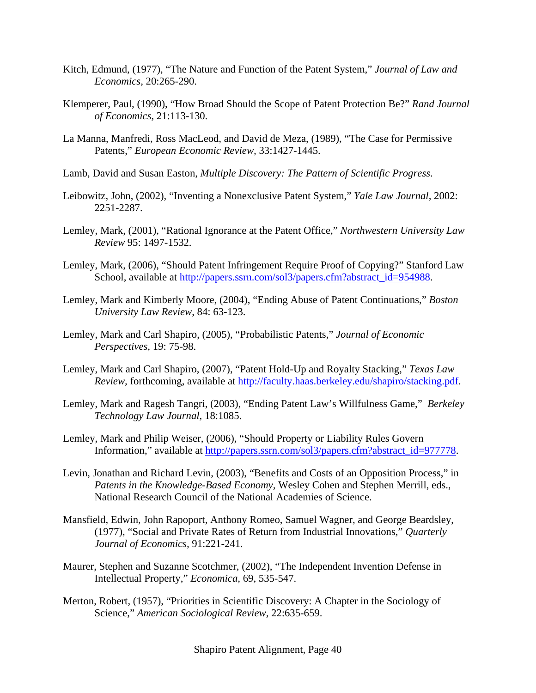- Kitch, Edmund, (1977), "The Nature and Function of the Patent System," *Journal of Law and Economics,* 20:265-290.
- Klemperer, Paul, (1990), "How Broad Should the Scope of Patent Protection Be?" *Rand Journal of Economics,* 21:113-130.
- La Manna, Manfredi, Ross MacLeod, and David de Meza, (1989), "The Case for Permissive Patents," *European Economic Review,* 33:1427-1445.
- Lamb, David and Susan Easton, *Multiple Discovery: The Pattern of Scientific Progress*.
- Leibowitz, John, (2002), "Inventing a Nonexclusive Patent System," *Yale Law Journal,* 2002: 2251-2287.
- Lemley, Mark, (2001), "Rational Ignorance at the Patent Office," *Northwestern University Law Review* 95: 1497-1532.
- Lemley, Mark, (2006), "Should Patent Infringement Require Proof of Copying?" Stanford Law School, available at http://papers.ssrn.com/sol3/papers.cfm?abstract\_id=954988.
- Lemley, Mark and Kimberly Moore, (2004), "Ending Abuse of Patent Continuations," *Boston University Law Review*, 84: 63-123.
- Lemley, Mark and Carl Shapiro, (2005), "Probabilistic Patents," *Journal of Economic Perspectives,* 19: 75-98.
- Lemley, Mark and Carl Shapiro, (2007), "Patent Hold-Up and Royalty Stacking," *Texas Law Review,* forthcoming, available at http://faculty.haas.berkeley.edu/shapiro/stacking.pdf.
- Lemley, Mark and Ragesh Tangri, (2003), "Ending Patent Law's Willfulness Game," *Berkeley Technology Law Journal,* 18:1085.
- Lemley, Mark and Philip Weiser, (2006), "Should Property or Liability Rules Govern Information," available at http://papers.ssrn.com/sol3/papers.cfm?abstract\_id=977778.
- Levin, Jonathan and Richard Levin, (2003), "Benefits and Costs of an Opposition Process," in *Patents in the Knowledge-Based Economy,* Wesley Cohen and Stephen Merrill, eds., National Research Council of the National Academies of Science.
- Mansfield, Edwin, John Rapoport, Anthony Romeo, Samuel Wagner, and George Beardsley, (1977), "Social and Private Rates of Return from Industrial Innovations," *Quarterly Journal of Economics,* 91:221-241.
- Maurer, Stephen and Suzanne Scotchmer, (2002), "The Independent Invention Defense in Intellectual Property," *Economica,* 69, 535-547.
- Merton, Robert, (1957), "Priorities in Scientific Discovery: A Chapter in the Sociology of Science," *American Sociological Review,* 22:635-659.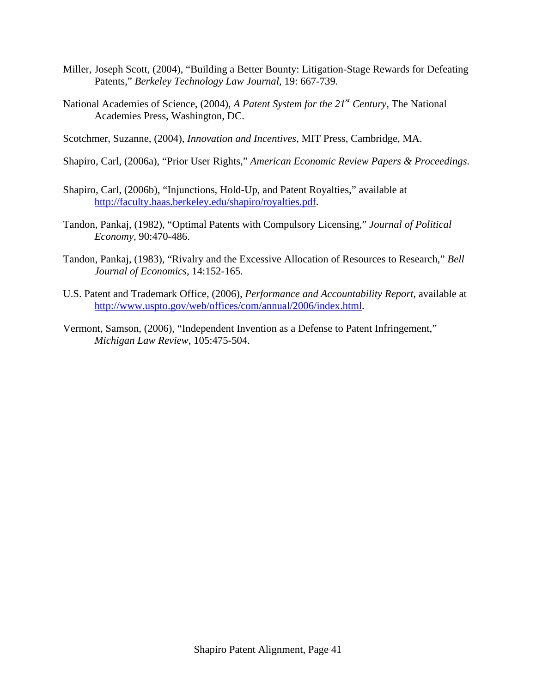- Miller, Joseph Scott, (2004), "Building a Better Bounty: Litigation-Stage Rewards for Defeating Patents," *Berkeley Technology Law Journal,* 19: 667-739.
- National Academies of Science, (2004), *A Patent System for the 21st Century,* The National Academies Press, Washington, DC.
- Scotchmer, Suzanne, (2004), *Innovation and Incentives,* MIT Press, Cambridge, MA.
- Shapiro, Carl, (2006a), "Prior User Rights," *American Economic Review Papers & Proceedings*.
- Shapiro, Carl, (2006b), "Injunctions, Hold-Up, and Patent Royalties," available at http://faculty.haas.berkeley.edu/shapiro/royalties.pdf.
- Tandon, Pankaj, (1982), "Optimal Patents with Compulsory Licensing," *Journal of Political Economy,* 90:470-486.
- Tandon, Pankaj, (1983), "Rivalry and the Excessive Allocation of Resources to Research," *Bell Journal of Economics,* 14:152-165.
- U.S. Patent and Trademark Office, (2006), *Performance and Accountability Report*, available at http://www.uspto.gov/web/offices/com/annual/2006/index.html.
- Vermont, Samson, (2006), "Independent Invention as a Defense to Patent Infringement," *Michigan Law Review*, 105:475-504.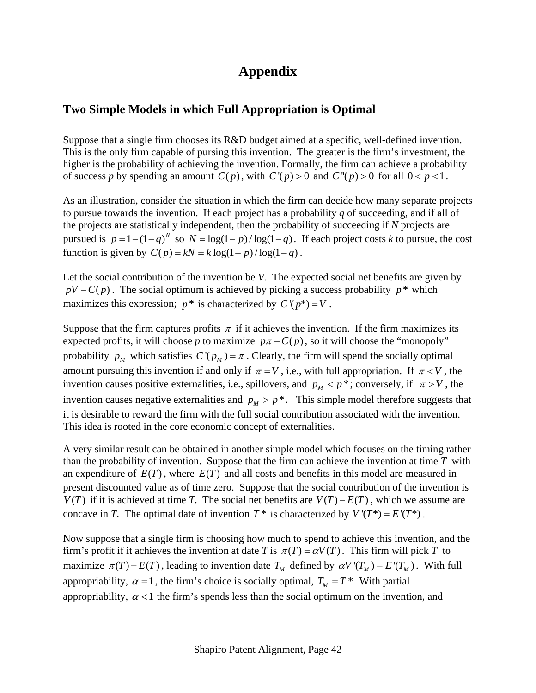# **Appendix**

### **Two Simple Models in which Full Appropriation is Optimal**

Suppose that a single firm chooses its R&D budget aimed at a specific, well-defined invention. This is the only firm capable of pursing this invention. The greater is the firm's investment, the higher is the probability of achieving the invention. Formally, the firm can achieve a probability of success *p* by spending an amount  $C(p)$ , with  $C'(p) > 0$  and  $C''(p) > 0$  for all  $0 < p < 1$ .

As an illustration, consider the situation in which the firm can decide how many separate projects to pursue towards the invention. If each project has a probability *q* of succeeding, and if all of the projects are statistically independent, then the probability of succeeding if *N* projects are pursued is  $p = 1 - (1 - q)^N$  so  $N = \log(1 - p) / \log(1 - q)$ . If each project costs *k* to pursue, the cost function is given by  $C(p) = kN = k \log(1 - p) / \log(1 - q)$ .

Let the social contribution of the invention be *V.* The expected social net benefits are given by  $pV - C(p)$ . The social optimum is achieved by picking a success probability  $p^*$  which maximizes this expression;  $p^*$  is characterized by  $C'(p^*)=V$ .

Suppose that the firm captures profits  $\pi$  if it achieves the invention. If the firm maximizes its expected profits, it will choose *p* to maximize  $p\pi - C(p)$ , so it will choose the "monopoly" probability  $p_M$  which satisfies  $C(p_M) = \pi$ . Clearly, the firm will spend the socially optimal amount pursuing this invention if and only if  $\pi = V$ , i.e., with full appropriation. If  $\pi < V$ , the invention causes positive externalities, i.e., spillovers, and  $p_M < p^*$ ; conversely, if  $\pi > V$ , the invention causes negative externalities and  $p_M > p^*$ . This simple model therefore suggests that it is desirable to reward the firm with the full social contribution associated with the invention. This idea is rooted in the core economic concept of externalities.

A very similar result can be obtained in another simple model which focuses on the timing rather than the probability of invention. Suppose that the firm can achieve the invention at time *T* with an expenditure of  $E(T)$ , where  $E(T)$  and all costs and benefits in this model are measured in present discounted value as of time zero. Suppose that the social contribution of the invention is *V*(*T*) if it is achieved at time *T*. The social net benefits are  $V(T) - E(T)$ , which we assume are concave in *T*. The optimal date of invention  $T^*$  is characterized by  $V'(T^*) = E'(T^*)$ .

Now suppose that a single firm is choosing how much to spend to achieve this invention, and the firm's profit if it achieves the invention at date *T* is  $\pi(T) = \alpha V(T)$ . This firm will pick *T* to maximize  $\pi(T) - E(T)$ , leading to invention date  $T_M$  defined by  $\alpha V'(T_M) = E'(T_M)$ . With full appropriability,  $\alpha = 1$ , the firm's choice is socially optimal,  $T_M = T^*$  With partial appropriability,  $\alpha$  < 1 the firm's spends less than the social optimum on the invention, and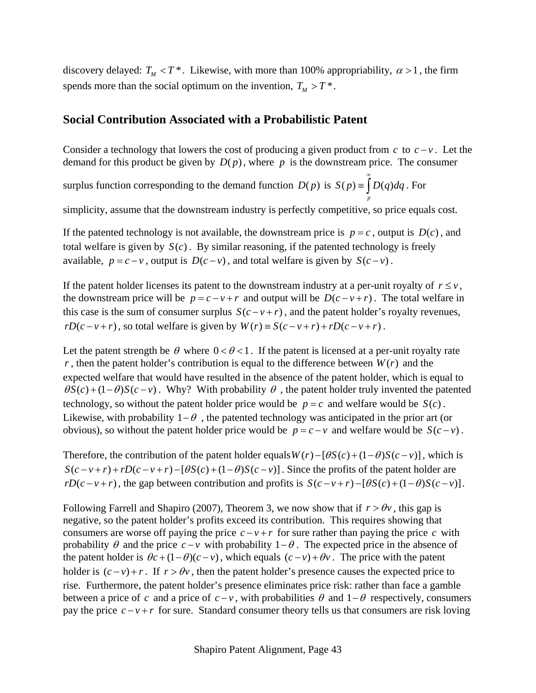discovery delayed:  $T_M < T^*$ . Likewise, with more than 100% appropriability,  $\alpha > 1$ , the firm spends more than the social optimum on the invention,  $T_M > T^*$ .

### **Social Contribution Associated with a Probabilistic Patent**

Consider a technology that lowers the cost of producing a given product from  $c$  to  $c - v$ . Let the demand for this product be given by  $D(p)$ , where p is the downstream price. The consumer

surplus function corresponding to the demand function  $D(p)$  is  $S(p) \equiv |D(q) dq$ *p* ∞  $\equiv \int D(q)dq$ . For

simplicity, assume that the downstream industry is perfectly competitive, so price equals cost.

If the patented technology is not available, the downstream price is  $p = c$ , output is  $D(c)$ , and total welfare is given by  $S(c)$ . By similar reasoning, if the patented technology is freely available,  $p = c - v$ , output is  $D(c - v)$ , and total welfare is given by  $S(c - v)$ .

If the patent holder licenses its patent to the downstream industry at a per-unit royalty of  $r \leq v$ , the downstream price will be  $p = c - v + r$  and output will be  $D(c - v + r)$ . The total welfare in this case is the sum of consumer surplus  $S(c - v + r)$ , and the patent holder's royalty revenues,  $rD(c-v+r)$ , so total welfare is given by  $W(r) \equiv S(c-v+r) + rD(c-v+r)$ .

Let the patent strength be  $\theta$  where  $0 < \theta < 1$ . If the patent is licensed at a per-unit royalty rate  $r$ , then the patent holder's contribution is equal to the difference between  $W(r)$  and the expected welfare that would have resulted in the absence of the patent holder, which is equal to  $\theta S(c) + (1 - \theta)S(c - v)$ . Why? With probability  $\theta$ , the patent holder truly invented the patented technology, so without the patent holder price would be  $p = c$  and welfare would be  $S(c)$ . Likewise, with probability  $1-\theta$ , the patented technology was anticipated in the prior art (or obvious), so without the patent holder price would be  $p = c - v$  and welfare would be  $S(c - v)$ .

Therefore, the contribution of the patent holder equals  $W(r) - [\theta S(c) + (1 - \theta)S(c - v)]$ , which is  $S(c-v+r)+rD(c-v+r)-[\theta S(c)+(1-\theta)S(c-v)]$ . Since the profits of the patent holder are  $rD(c-v+r)$ , the gap between contribution and profits is  $S(c-v+r) - [\theta S(c) + (1-\theta)S(c-v)].$ 

Following Farrell and Shapiro (2007), Theorem 3, we now show that if  $r > \theta v$ , this gap is negative, so the patent holder's profits exceed its contribution. This requires showing that consumers are worse off paying the price  $c - v + r$  for sure rather than paying the price c with probability  $\theta$  and the price  $c - v$  with probability  $1 - \theta$ . The expected price in the absence of the patent holder is  $\theta c + (1 - \theta)(c - v)$ , which equals  $(c - v) + \theta v$ . The price with the patent holder is  $(c-v) + r$ . If  $r > \theta v$ , then the patent holder's presence causes the expected price to rise. Furthermore, the patent holder's presence eliminates price risk: rather than face a gamble between a price of *c* and a price of  $c - v$ , with probabilities  $\theta$  and  $1-\theta$  respectively, consumers pay the price  $c - v + r$  for sure. Standard consumer theory tells us that consumers are risk loving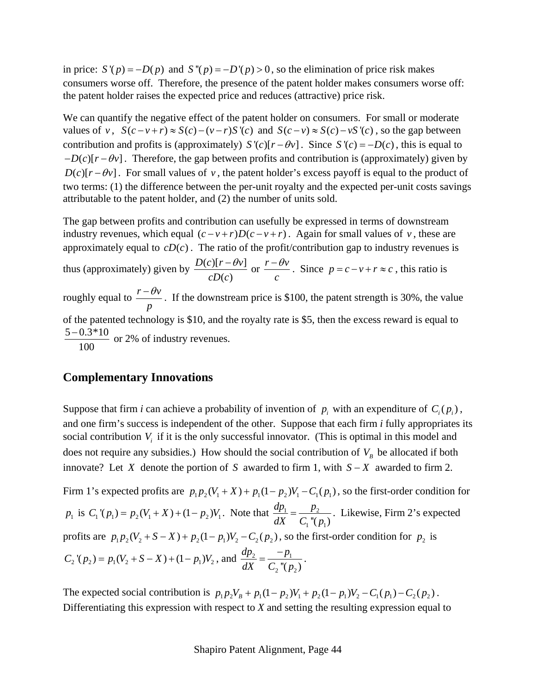in price:  $S'(p) = -D(p)$  and  $S''(p) = -D'(p) > 0$ , so the elimination of price risk makes consumers worse off. Therefore, the presence of the patent holder makes consumers worse off: the patent holder raises the expected price and reduces (attractive) price risk.

We can quantify the negative effect of the patent holder on consumers. For small or moderate values of *v*,  $S(c - v + r) \approx S(c) - (v - r)S'(c)$  and  $S(c - v) \approx S(c) - vS'(c)$ , so the gap between contribution and profits is (approximately)  $S'(c)[r - \theta v]$ . Since  $S'(c) = -D(c)$ , this is equal to  $-D(c)[r - \theta v]$ . Therefore, the gap between profits and contribution is (approximately) given by  $D(c)[r - \theta v]$ . For small values of *v*, the patent holder's excess payoff is equal to the product of two terms: (1) the difference between the per-unit royalty and the expected per-unit costs savings attributable to the patent holder, and (2) the number of units sold.

The gap between profits and contribution can usefully be expressed in terms of downstream industry revenues, which equal  $(c - v + r)D(c - v + r)$ . Again for small values of *v*, these are approximately equal to  $cD(c)$ . The ratio of the profit/contribution gap to industry revenues is thus (approximately) given by  $\frac{D(c)[r - \theta v]}{D(r)}$  $\left( c\right)$  $D(c)[r - \theta v]$  $cD(c)$  $\frac{-\theta v}{\theta}$  or  $\frac{r-\theta v}{\theta}$ *c*  $-\theta v$ . Since  $p = c - v + r \approx c$ , this ratio is roughly equal to  $\frac{r - \theta v}{\ }$ *p*  $-\theta v$ . If the downstream price is \$100, the patent strength is 30%, the value of the patented technology is \$10, and the royalty rate is \$5, then the excess reward is equal to  $5 - 0.3 \times 10$ 100  $\frac{-0.3*10}{\cdots}$  or 2% of industry revenues.

### **Complementary Innovations**

Suppose that firm *i* can achieve a probability of invention of  $p_i$  with an expenditure of  $C_i(p_i)$ , and one firm's success is independent of the other. Suppose that each firm *i* fully appropriates its social contribution  $V_i$  if it is the only successful innovator. (This is optimal in this model and does not require any subsidies.) How should the social contribution of  $V_B$  be allocated if both innovate? Let *X* denote the portion of *S* awarded to firm 1, with  $S - X$  awarded to firm 2.

Firm 1's expected profits are  $p_1 p_2 (V_1 + X) + p_1 (1 - p_2) V_1 - C_1 (p_1)$ , so the first-order condition for  $p_1$  is  $C_1'(p_1) = p_2(V_1 + X) + (1 - p_2)V_1$ . Note that  $\frac{dp_1}{dx} = \frac{p_2}{C_1}$  $\binom{1}{1}$  " $(p_1)$  $\frac{dp_1}{dX} = \frac{p_2}{C_1''(p_1)}$ . Likewise, Firm 2's expected profits are  $p_1 p_2 (V_2 + S - X) + p_2 (1 - p_1) V_2 - C_2 (p_2)$ , so the first-order condition for  $p_2$  is  $C_2$ <sup>'</sup> $(p_2) = p_1(V_2 + S - X) + (1 - p_1)V_2$ , and  $\frac{dp_2}{dV} = \frac{p_1}{C_1}$ <sup>n</sup><sup>n</sup>  $\binom{1}{2}$  " $(p_2)$  $dp_2 - p$  $dX$   $C_2$ <sup>"</sup> $(p)$  $=\frac{-p_1}{\sigma}$ .

The expected social contribution is  $p_1 p_2 V_B + p_1 (1 - p_2) V_1 + p_2 (1 - p_1) V_2 - C_1 (p_1) - C_2 (p_2)$ . Differentiating this expression with respect to *X* and setting the resulting expression equal to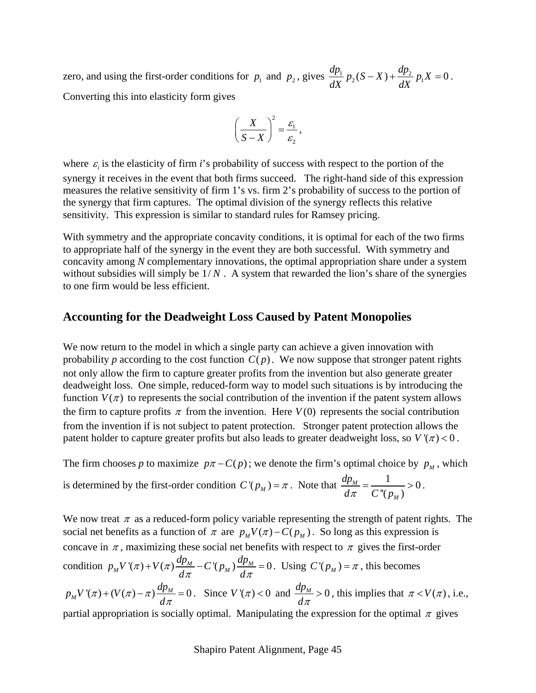zero, and using the first-order conditions for  $p_1$  and  $p_2$ , gives  $\frac{dp_1}{dX} p_2(S-X) + \frac{dp_2}{dX} p_1X = 0$ . Converting this into elasticity form gives

$$
\left(\frac{X}{S-X}\right)^2 = \frac{\varepsilon_1}{\varepsilon_2},
$$

where  $\varepsilon_i$  is the elasticity of firm *i*'s probability of success with respect to the portion of the synergy it receives in the event that both firms succeed. The right-hand side of this expression measures the relative sensitivity of firm 1's vs. firm 2's probability of success to the portion of the synergy that firm captures. The optimal division of the synergy reflects this relative sensitivity. This expression is similar to standard rules for Ramsey pricing.

With symmetry and the appropriate concavity conditions, it is optimal for each of the two firms to appropriate half of the synergy in the event they are both successful. With symmetry and concavity among *N* complementary innovations, the optimal appropriation share under a system without subsidies will simply be  $1/N$ . A system that rewarded the lion's share of the synergies to one firm would be less efficient.

### **Accounting for the Deadweight Loss Caused by Patent Monopolies**

We now return to the model in which a single party can achieve a given innovation with probability *p* according to the cost function  $C(p)$ . We now suppose that stronger patent rights not only allow the firm to capture greater profits from the invention but also generate greater deadweight loss. One simple, reduced-form way to model such situations is by introducing the function  $V(\pi)$  to represents the social contribution of the invention if the patent system allows the firm to capture profits  $\pi$  from the invention. Here  $V(0)$  represents the social contribution from the invention if is not subject to patent protection. Stronger patent protection allows the patent holder to capture greater profits but also leads to greater deadweight loss, so  $V'(\pi) < 0$ .

The firm chooses *p* to maximize  $p\pi - C(p)$ ; we denote the firm's optimal choice by  $p<sub>M</sub>$ , which

is determined by the first-order condition 
$$
C'(p_M) = \pi
$$
. Note that  $\frac{dp_M}{d\pi} = \frac{1}{C''(p_M)} > 0$ .

We now treat  $\pi$  as a reduced-form policy variable representing the strength of patent rights. The social net benefits as a function of  $\pi$  are  $p_M V(\pi) - C(p_M)$ . So long as this expression is concave in  $\pi$ , maximizing these social net benefits with respect to  $\pi$  gives the first-order condition  $p_M V'(\pi) + V(\pi) \frac{dp_M}{d\pi} - C'(p_M) \frac{dp_M}{d\pi} = 0$  $\pi$  ) + V (  $\pi$  $+\overline{V}(\pi)\frac{dP_M}{d\pi}-C'(p_M)\frac{dP_M}{d\pi}=0$ . Using  $C'(p_M)=\pi$ , this becomes  $p_M V'(\pi) + (V(\pi) - \pi) \frac{dp_M}{d\pi} = 0$  $\pi$  + (V ( $\pi$ ) –  $\pi$  $+(V(\pi)-\pi)\frac{dp_M}{d\pi}=0$ . Since  $V'(\pi) < 0$  and  $\frac{dp_M}{d\pi} > 0$ *d*<sup>π</sup>  $> 0$ , this implies that  $\pi < V(\pi)$ , i.e., partial appropriation is socially optimal. Manipulating the expression for the optimal  $\pi$  gives